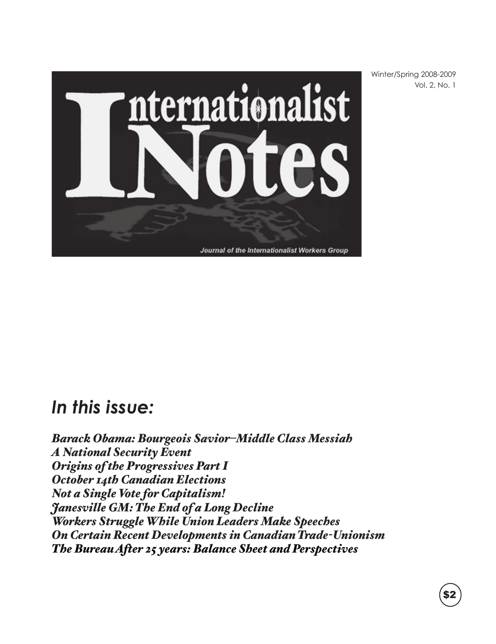

Winter/Spring 2008-2009 Vol. 2, No. 1

## *In this issue:*

*Barack Obama: Bourgeois Savior–Middle Class Messiah A National Security Event Origins of the Progressives Part I October 14th Canadian Elections Not a Single Vote for Capitalism! Janesville GM: The End of a Long Decline Workers Struggle While Union Leaders Make Speeches On Certain Recent Developments in Canadian Trade-Unionism The Bureau After 25 years: Balance Sheet and Perspectives*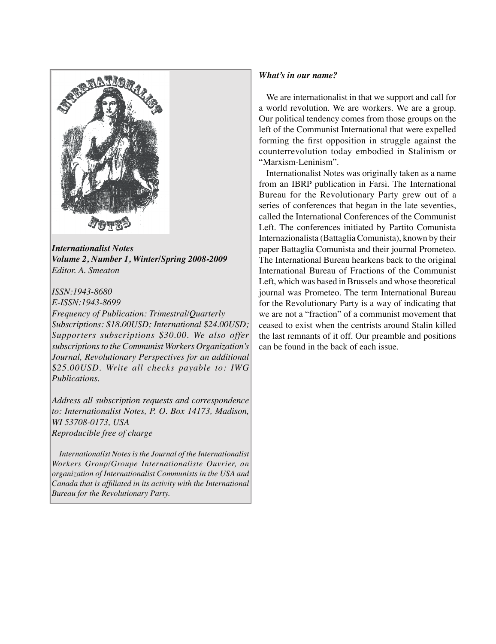

*Internationalist Notes Volume 2, Number 1, Winter/Spring 2008-2009 Editor. A. Smeaton*

*ISSN:1943-8680 E-ISSN:1943-8699*

*Frequency of Publication: Trimestral/Quarterly Subscriptions: \$18.00USD; International \$24.00USD; Supporters subscriptions \$30.00. We also offer subscriptions to the Communist Workers Organization's Journal, Revolutionary Perspectives for an additional \$25.00USD. Write all checks payable to: IWG Publications.*

*Address all subscription requests and correspondence to: Internationalist Notes, P. O. Box 14173, Madison, WI 53708-0173, USA Reproducible free of charge*

 *Internationalist Notes is the Journal of the Internationalist Workers Group/Groupe Internationaliste Ouvrier, an organization of Internationalist Communists in the USA and Canada that is affiliated in its activity with the International Bureau for the Revolutionary Party.* 

#### *What's in our name?*

 We are internationalist in that we support and call for a world revolution. We are workers. We are a group. Our political tendency comes from those groups on the left of the Communist International that were expelled forming the first opposition in struggle against the counterrevolution today embodied in Stalinism or "Marxism-Leninism".

 Internationalist Notes was originally taken as a name from an IBRP publication in Farsi. The International Bureau for the Revolutionary Party grew out of a series of conferences that began in the late seventies, called the International Conferences of the Communist Left. The conferences initiated by Partito Comunista Internazionalista (Battaglia Comunista), known by their paper Battaglia Comunista and their journal Prometeo. The International Bureau hearkens back to the original International Bureau of Fractions of the Communist Left, which was based in Brussels and whose theoretical journal was Prometeo. The term International Bureau for the Revolutionary Party is a way of indicating that we are not a "fraction" of a communist movement that ceased to exist when the centrists around Stalin killed the last remnants of it off. Our preamble and positions can be found in the back of each issue.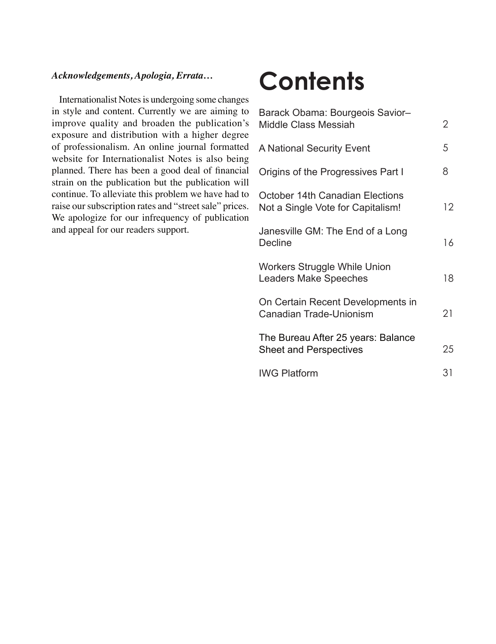### *Acknowledgements, Apologia, Errata…*

 Internationalist Notes is undergoing some changes in style and content. Currently we are aiming to improve quality and broaden the publication's exposure and distribution with a higher degree of professionalism. An online journal formatted website for Internationalist Notes is also being planned. There has been a good deal of financial strain on the publication but the publication will continue. To alleviate this problem we have had to raise our subscription rates and "street sale" prices. We apologize for our infrequency of publication and appeal for our readers support.

# **Contents**

| Barack Obama: Bourgeois Savior-<br><b>Middle Class Messiah</b>              | 2  |
|-----------------------------------------------------------------------------|----|
| A National Security Event                                                   | 5  |
| Origins of the Progressives Part I                                          | 8  |
| <b>October 14th Canadian Elections</b><br>Not a Single Vote for Capitalism! | 12 |
| Janesville GM: The End of a Long<br><b>Decline</b>                          | 16 |
| <b>Workers Struggle While Union</b><br><b>Leaders Make Speeches</b>         | 18 |
| On Certain Recent Developments in<br>Canadian Trade-Unionism                | 21 |
| The Bureau After 25 years: Balance<br><b>Sheet and Perspectives</b>         | 25 |
| <b>IWG Platform</b>                                                         | 31 |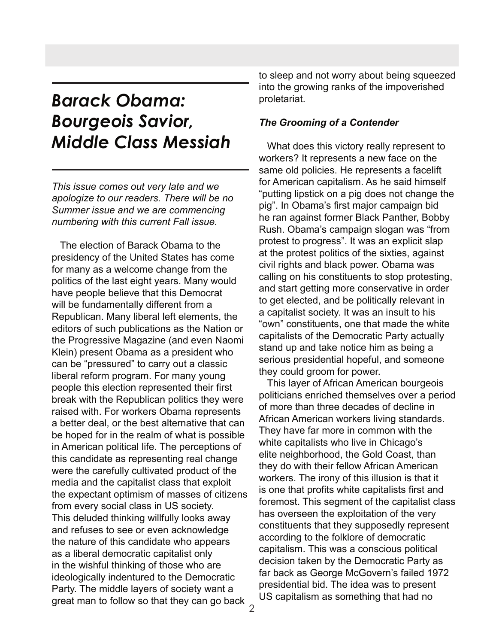## *Barack Obama: Bourgeois Savior, Middle Class Messiah*

*This issue comes out very late and we apologize to our readers. There will be no Summer issue and we are commencing numbering with this current Fall issue.*

 The election of Barack Obama to the presidency of the United States has come for many as a welcome change from the politics of the last eight years. Many would have people believe that this Democrat will be fundamentally different from a Republican. Many liberal left elements, the editors of such publications as the Nation or the Progressive Magazine (and even Naomi Klein) present Obama as a president who can be "pressured" to carry out a classic liberal reform program. For many young people this election represented their first break with the Republican politics they were raised with. For workers Obama represents a better deal, or the best alternative that can be hoped for in the realm of what is possible in American political life. The perceptions of this candidate as representing real change were the carefully cultivated product of the media and the capitalist class that exploit the expectant optimism of masses of citizens from every social class in US society. This deluded thinking willfully looks away and refuses to see or even acknowledge the nature of this candidate who appears as a liberal democratic capitalist only in the wishful thinking of those who are ideologically indentured to the Democratic Party. The middle layers of society want a great man to follow so that they can go back

to sleep and not worry about being squeezed into the growing ranks of the impoverished proletariat.

### *The Grooming of a Contender*

 What does this victory really represent to workers? It represents a new face on the same old policies. He represents a facelift for American capitalism. As he said himself "putting lipstick on a pig does not change the pig". In Obama's first major campaign bid he ran against former Black Panther, Bobby Rush. Obama's campaign slogan was "from protest to progress". It was an explicit slap at the protest politics of the sixties, against civil rights and black power. Obama was calling on his constituents to stop protesting, and start getting more conservative in order to get elected, and be politically relevant in a capitalist society. It was an insult to his "own" constituents, one that made the white capitalists of the Democratic Party actually stand up and take notice him as being a serious presidential hopeful, and someone they could groom for power.

 This layer of African American bourgeois politicians enriched themselves over a period of more than three decades of decline in African American workers living standards. They have far more in common with the white capitalists who live in Chicago's elite neighborhood, the Gold Coast, than they do with their fellow African American workers. The irony of this illusion is that it is one that profits white capitalists first and foremost. This segment of the capitalist class has overseen the exploitation of the very constituents that they supposedly represent according to the folklore of democratic capitalism. This was a conscious political decision taken by the Democratic Party as far back as George McGovern's failed 1972 presidential bid. The idea was to present US capitalism as something that had no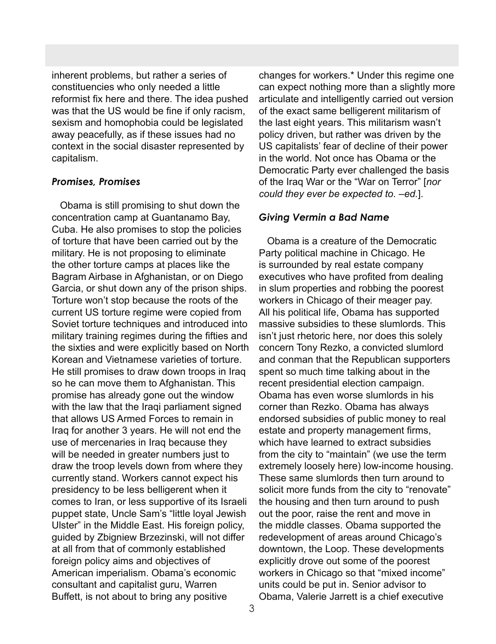inherent problems, but rather a series of constituencies who only needed a little reformist fix here and there. The idea pushed was that the US would be fine if only racism, sexism and homophobia could be legislated away peacefully, as if these issues had no context in the social disaster represented by capitalism.

### *Promises, Promises*

 Obama is still promising to shut down the concentration camp at Guantanamo Bay, Cuba. He also promises to stop the policies of torture that have been carried out by the military. He is not proposing to eliminate the other torture camps at places like the Bagram Airbase in Afghanistan, or on Diego Garcia, or shut down any of the prison ships. Torture won't stop because the roots of the current US torture regime were copied from Soviet torture techniques and introduced into military training regimes during the fifties and the sixties and were explicitly based on North Korean and Vietnamese varieties of torture. He still promises to draw down troops in Iraq so he can move them to Afghanistan. This promise has already gone out the window with the law that the Iraqi parliament signed that allows US Armed Forces to remain in Iraq for another 3 years. He will not end the use of mercenaries in Iraq because they will be needed in greater numbers just to draw the troop levels down from where they currently stand. Workers cannot expect his presidency to be less belligerent when it comes to Iran, or less supportive of its Israeli puppet state, Uncle Sam's "little loyal Jewish Ulster" in the Middle East. His foreign policy, guided by Zbigniew Brzezinski, will not differ at all from that of commonly established foreign policy aims and objectives of American imperialism. Obama's economic consultant and capitalist guru, Warren Buffett, is not about to bring any positive

changes for workers.\* Under this regime one can expect nothing more than a slightly more articulate and intelligently carried out version of the exact same belligerent militarism of the last eight years. This militarism wasn't policy driven, but rather was driven by the US capitalists' fear of decline of their power in the world. Not once has Obama or the Democratic Party ever challenged the basis of the Iraq War or the "War on Terror" [*nor could they ever be expected to. –ed.*].

### *Giving Vermin a Bad Name*

 Obama is a creature of the Democratic Party political machine in Chicago. He is surrounded by real estate company executives who have profited from dealing in slum properties and robbing the poorest workers in Chicago of their meager pay. All his political life, Obama has supported massive subsidies to these slumlords. This isn't just rhetoric here, nor does this solely concern Tony Rezko, a convicted slumlord and conman that the Republican supporters spent so much time talking about in the recent presidential election campaign. Obama has even worse slumlords in his corner than Rezko. Obama has always endorsed subsidies of public money to real estate and property management firms, which have learned to extract subsidies from the city to "maintain" (we use the term extremely loosely here) low-income housing. These same slumlords then turn around to solicit more funds from the city to "renovate" the housing and then turn around to push out the poor, raise the rent and move in the middle classes. Obama supported the redevelopment of areas around Chicago's downtown, the Loop. These developments explicitly drove out some of the poorest workers in Chicago so that "mixed income" units could be put in. Senior advisor to Obama, Valerie Jarrett is a chief executive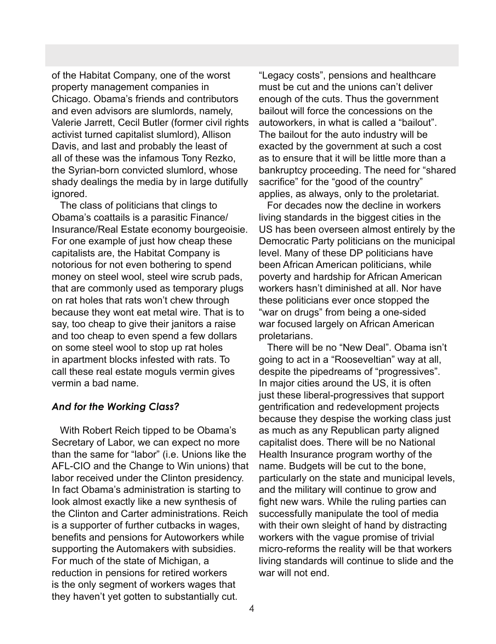of the Habitat Company, one of the worst property management companies in Chicago. Obama's friends and contributors and even advisors are slumlords, namely, Valerie Jarrett, Cecil Butler (former civil rights activist turned capitalist slumlord), Allison Davis, and last and probably the least of all of these was the infamous Tony Rezko, the Syrian-born convicted slumlord, whose shady dealings the media by in large dutifully ignored.

 The class of politicians that clings to Obama's coattails is a parasitic Finance/ Insurance/Real Estate economy bourgeoisie. For one example of just how cheap these capitalists are, the Habitat Company is notorious for not even bothering to spend money on steel wool, steel wire scrub pads, that are commonly used as temporary plugs on rat holes that rats won't chew through because they wont eat metal wire. That is to say, too cheap to give their janitors a raise and too cheap to even spend a few dollars on some steel wool to stop up rat holes in apartment blocks infested with rats. To call these real estate moguls vermin gives vermin a bad name.

### *And for the Working Class?*

 With Robert Reich tipped to be Obama's Secretary of Labor, we can expect no more than the same for "labor" (i.e. Unions like the AFL-CIO and the Change to Win unions) that labor received under the Clinton presidency. In fact Obama's administration is starting to look almost exactly like a new synthesis of the Clinton and Carter administrations. Reich is a supporter of further cutbacks in wages, benefits and pensions for Autoworkers while supporting the Automakers with subsidies. For much of the state of Michigan, a reduction in pensions for retired workers is the only segment of workers wages that they haven't yet gotten to substantially cut.

"Legacy costs", pensions and healthcare must be cut and the unions can't deliver enough of the cuts. Thus the government bailout will force the concessions on the autoworkers, in what is called a "bailout". The bailout for the auto industry will be exacted by the government at such a cost as to ensure that it will be little more than a bankruptcy proceeding. The need for "shared sacrifice" for the "good of the country" applies, as always, only to the proletariat.

 For decades now the decline in workers living standards in the biggest cities in the US has been overseen almost entirely by the Democratic Party politicians on the municipal level. Many of these DP politicians have been African American politicians, while poverty and hardship for African American workers hasn't diminished at all. Nor have these politicians ever once stopped the "war on drugs" from being a one-sided war focused largely on African American proletarians.

 There will be no "New Deal". Obama isn't going to act in a "Rooseveltian" way at all, despite the pipedreams of "progressives". In major cities around the US, it is often just these liberal-progressives that support gentrification and redevelopment projects because they despise the working class just as much as any Republican party aligned capitalist does. There will be no National Health Insurance program worthy of the name. Budgets will be cut to the bone, particularly on the state and municipal levels, and the military will continue to grow and fight new wars. While the ruling parties can successfully manipulate the tool of media with their own sleight of hand by distracting workers with the vague promise of trivial micro-reforms the reality will be that workers living standards will continue to slide and the war will not end.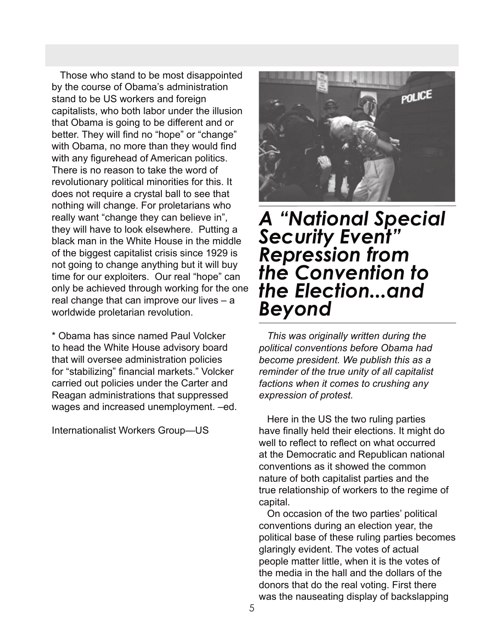Those who stand to be most disappointed by the course of Obama's administration stand to be US workers and foreign capitalists, who both labor under the illusion that Obama is going to be different and or better. They will find no "hope" or "change" with Obama, no more than they would find with any figurehead of American politics. There is no reason to take the word of revolutionary political minorities for this. It does not require a crystal ball to see that nothing will change. For proletarians who really want "change they can believe in", they will have to look elsewhere. Putting a black man in the White House in the middle of the biggest capitalist crisis since 1929 is not going to change anything but it will buy time for our exploiters. Our real "hope" can only be achieved through working for the one real change that can improve our lives – a worldwide proletarian revolution.

\* Obama has since named Paul Volcker to head the White House advisory board that will oversee administration policies for "stabilizing" financial markets." Volcker carried out policies under the Carter and Reagan administrations that suppressed wages and increased unemployment. –ed.

Internationalist Workers Group—US



## *A "National Special Security Event" Repression from the Convention to the Election...and Beyond*

 *This was originally written during the political conventions before Obama had become president. We publish this as a reminder of the true unity of all capitalist factions when it comes to crushing any expression of protest.*

 Here in the US the two ruling parties have finally held their elections. It might do well to reflect to reflect on what occurred at the Democratic and Republican national conventions as it showed the common nature of both capitalist parties and the true relationship of workers to the regime of capital.

 On occasion of the two parties' political conventions during an election year, the political base of these ruling parties becomes glaringly evident. The votes of actual people matter little, when it is the votes of the media in the hall and the dollars of the donors that do the real voting. First there was the nauseating display of backslapping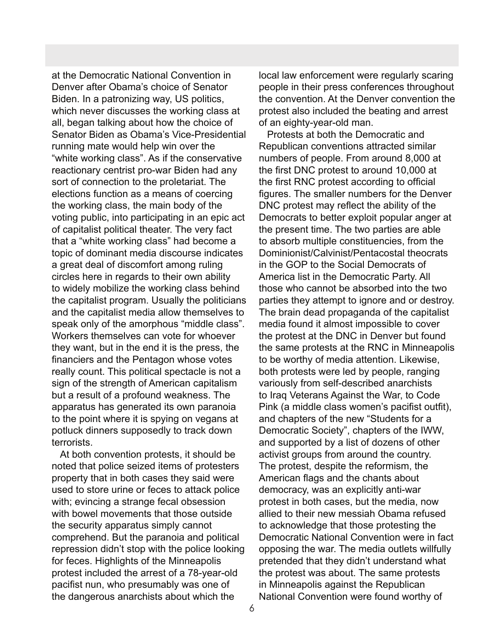at the Democratic National Convention in Denver after Obama's choice of Senator Biden. In a patronizing way, US politics, which never discusses the working class at all, began talking about how the choice of Senator Biden as Obama's Vice-Presidential running mate would help win over the "white working class". As if the conservative reactionary centrist pro-war Biden had any sort of connection to the proletariat. The elections function as a means of coercing the working class, the main body of the voting public, into participating in an epic act of capitalist political theater. The very fact that a "white working class" had become a topic of dominant media discourse indicates a great deal of discomfort among ruling circles here in regards to their own ability to widely mobilize the working class behind the capitalist program. Usually the politicians and the capitalist media allow themselves to speak only of the amorphous "middle class". Workers themselves can vote for whoever they want, but in the end it is the press, the financiers and the Pentagon whose votes really count. This political spectacle is not a sign of the strength of American capitalism but a result of a profound weakness. The apparatus has generated its own paranoia to the point where it is spying on vegans at potluck dinners supposedly to track down terrorists.

 At both convention protests, it should be noted that police seized items of protesters property that in both cases they said were used to store urine or feces to attack police with; evincing a strange fecal obsession with bowel movements that those outside the security apparatus simply cannot comprehend. But the paranoia and political repression didn't stop with the police looking for feces. Highlights of the Minneapolis protest included the arrest of a 78-year-old pacifist nun, who presumably was one of the dangerous anarchists about which the

local law enforcement were regularly scaring people in their press conferences throughout the convention. At the Denver convention the protest also included the beating and arrest of an eighty-year-old man.

 Protests at both the Democratic and Republican conventions attracted similar numbers of people. From around 8,000 at the first DNC protest to around 10,000 at the first RNC protest according to official figures. The smaller numbers for the Denver DNC protest may reflect the ability of the Democrats to better exploit popular anger at the present time. The two parties are able to absorb multiple constituencies, from the Dominionist/Calvinist/Pentacostal theocrats in the GOP to the Social Democrats of America list in the Democratic Party. All those who cannot be absorbed into the two parties they attempt to ignore and or destroy. The brain dead propaganda of the capitalist media found it almost impossible to cover the protest at the DNC in Denver but found the same protests at the RNC in Minneapolis to be worthy of media attention. Likewise, both protests were led by people, ranging variously from self-described anarchists to Iraq Veterans Against the War, to Code Pink (a middle class women's pacifist outfit), and chapters of the new "Students for a Democratic Society", chapters of the IWW, and supported by a list of dozens of other activist groups from around the country. The protest, despite the reformism, the American flags and the chants about democracy, was an explicitly anti-war protest in both cases, but the media, now allied to their new messiah Obama refused to acknowledge that those protesting the Democratic National Convention were in fact opposing the war. The media outlets willfully pretended that they didn't understand what the protest was about. The same protests in Minneapolis against the Republican National Convention were found worthy of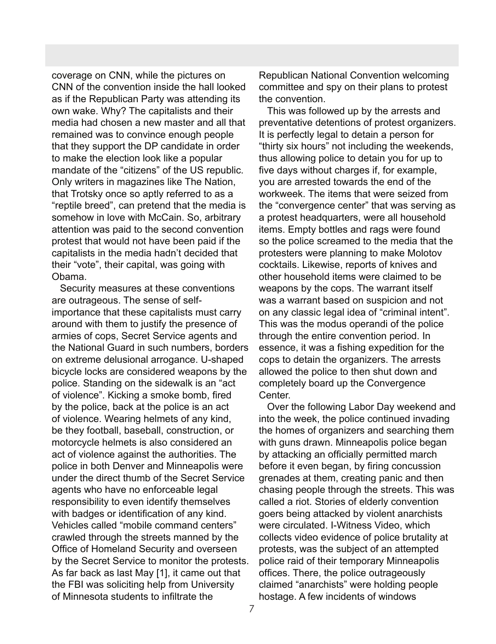coverage on CNN, while the pictures on CNN of the convention inside the hall looked as if the Republican Party was attending its own wake. Why? The capitalists and their media had chosen a new master and all that remained was to convince enough people that they support the DP candidate in order to make the election look like a popular mandate of the "citizens" of the US republic. Only writers in magazines like The Nation, that Trotsky once so aptly referred to as a "reptile breed", can pretend that the media is somehow in love with McCain. So, arbitrary attention was paid to the second convention protest that would not have been paid if the capitalists in the media hadn't decided that their "vote", their capital, was going with Obama.

 Security measures at these conventions are outrageous. The sense of selfimportance that these capitalists must carry around with them to justify the presence of armies of cops, Secret Service agents and the National Guard in such numbers, borders on extreme delusional arrogance. U-shaped bicycle locks are considered weapons by the police. Standing on the sidewalk is an "act of violence". Kicking a smoke bomb, fired by the police, back at the police is an act of violence. Wearing helmets of any kind, be they football, baseball, construction, or motorcycle helmets is also considered an act of violence against the authorities. The police in both Denver and Minneapolis were under the direct thumb of the Secret Service agents who have no enforceable legal responsibility to even identify themselves with badges or identification of any kind. Vehicles called "mobile command centers" crawled through the streets manned by the Office of Homeland Security and overseen by the Secret Service to monitor the protests. As far back as last May [1], it came out that the FBI was soliciting help from University of Minnesota students to infiltrate the

Republican National Convention welcoming committee and spy on their plans to protest the convention.

 This was followed up by the arrests and preventative detentions of protest organizers. It is perfectly legal to detain a person for "thirty six hours" not including the weekends, thus allowing police to detain you for up to five days without charges if, for example, you are arrested towards the end of the workweek. The items that were seized from the "convergence center" that was serving as a protest headquarters, were all household items. Empty bottles and rags were found so the police screamed to the media that the protesters were planning to make Molotov cocktails. Likewise, reports of knives and other household items were claimed to be weapons by the cops. The warrant itself was a warrant based on suspicion and not on any classic legal idea of "criminal intent". This was the modus operandi of the police through the entire convention period. In essence, it was a fishing expedition for the cops to detain the organizers. The arrests allowed the police to then shut down and completely board up the Convergence Center.

 Over the following Labor Day weekend and into the week, the police continued invading the homes of organizers and searching them with guns drawn. Minneapolis police began by attacking an officially permitted march before it even began, by firing concussion grenades at them, creating panic and then chasing people through the streets. This was called a riot. Stories of elderly convention goers being attacked by violent anarchists were circulated. I-Witness Video, which collects video evidence of police brutality at protests, was the subject of an attempted police raid of their temporary Minneapolis offices. There, the police outrageously claimed "anarchists" were holding people hostage. A few incidents of windows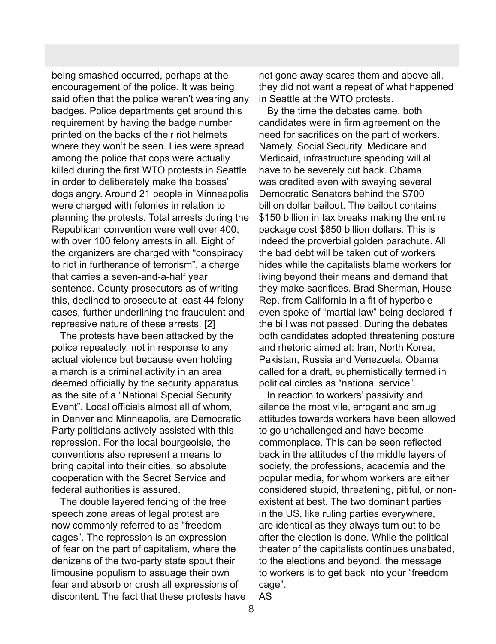being smashed occurred, perhaps at the encouragement of the police. It was being said often that the police weren't wearing any badges. Police departments get around this requirement by having the badge number printed on the backs of their riot helmets where they won't be seen. Lies were spread among the police that cops were actually killed during the first WTO protests in Seattle in order to deliberately make the bosses' dogs angry. Around 21 people in Minneapolis were charged with felonies in relation to planning the protests. Total arrests during the Republican convention were well over 400, with over 100 felony arrests in all. Eight of the organizers are charged with "conspiracy to riot in furtherance of terrorism", a charge that carries a seven-and-a-half year sentence. County prosecutors as of writing this, declined to prosecute at least 44 felony cases, further underlining the fraudulent and repressive nature of these arrests. [2]

 The protests have been attacked by the police repeatedly, not in response to any actual violence but because even holding a march is a criminal activity in an area deemed officially by the security apparatus as the site of a "National Special Security Event". Local officials almost all of whom, in Denver and Minneapolis, are Democratic Party politicians actively assisted with this repression. For the local bourgeoisie, the conventions also represent a means to bring capital into their cities, so absolute cooperation with the Secret Service and federal authorities is assured.

 The double layered fencing of the free speech zone areas of legal protest are now commonly referred to as "freedom cages". The repression is an expression of fear on the part of capitalism, where the denizens of the two-party state spout their limousine populism to assuage their own fear and absorb or crush all expressions of discontent. The fact that these protests have

not gone away scares them and above all, they did not want a repeat of what happened in Seattle at the WTO protests.

 By the time the debates came, both candidates were in firm agreement on the need for sacrifices on the part of workers. Namely, Social Security, Medicare and Medicaid, infrastructure spending will all have to be severely cut back. Obama was credited even with swaying several Democratic Senators behind the \$700 billion dollar bailout. The bailout contains \$150 billion in tax breaks making the entire package cost \$850 billion dollars. This is indeed the proverbial golden parachute. All the bad debt will be taken out of workers hides while the capitalists blame workers for living beyond their means and demand that they make sacrifices. Brad Sherman, House Rep. from California in a fit of hyperbole even spoke of "martial law" being declared if the bill was not passed. During the debates both candidates adopted threatening posture and rhetoric aimed at: Iran, North Korea, Pakistan, Russia and Venezuela. Obama called for a draft, euphemistically termed in political circles as "national service".

 In reaction to workers' passivity and silence the most vile, arrogant and smug attitudes towards workers have been allowed to go unchallenged and have become commonplace. This can be seen reflected back in the attitudes of the middle layers of society, the professions, academia and the popular media, for whom workers are either considered stupid, threatening, pitiful, or nonexistent at best. The two dominant parties in the US, like ruling parties everywhere, are identical as they always turn out to be after the election is done. While the political theater of the capitalists continues unabated, to the elections and beyond, the message to workers is to get back into your "freedom cage". AS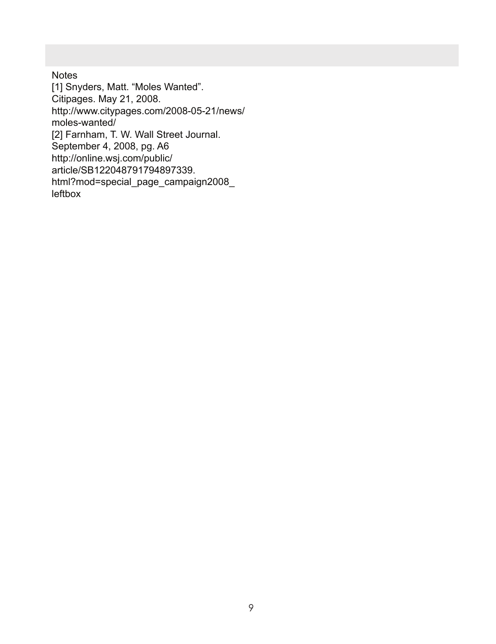**Notes** [1] Snyders, Matt. "Moles Wanted". Citipages. May 21, 2008. http://www.citypages.com/2008-05-21/news/ moles-wanted/ [2] Farnham, T. W. Wall Street Journal. September 4, 2008, pg. A6 http://online.wsj.com/public/ article/SB122048791794897339. html?mod=special\_page\_campaign2008\_ leftbox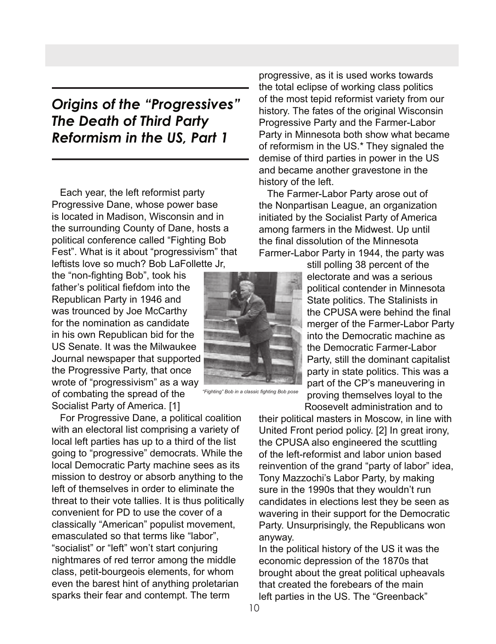### *Origins of the "Progressives" The Death of Third Party Reformism in the US, Part 1*

 Each year, the left reformist party Progressive Dane, whose power base is located in Madison, Wisconsin and in the surrounding County of Dane, hosts a political conference called "Fighting Bob Fest". What is it about "progressivism" that leftists love so much? Bob LaFollette Jr,

the "non-fighting Bob", took his father's political fiefdom into the Republican Party in 1946 and was trounced by Joe McCarthy for the nomination as candidate in his own Republican bid for the US Senate. It was the Milwaukee Journal newspaper that supported the Progressive Party, that once wrote of "progressivism" as a way of combating the spread of the Socialist Party of America. [1]

 For Progressive Dane, a political coalition with an electoral list comprising a variety of local left parties has up to a third of the list going to "progressive" democrats. While the local Democratic Party machine sees as its mission to destroy or absorb anything to the left of themselves in order to eliminate the threat to their vote tallies. It is thus politically convenient for PD to use the cover of a classically "American" populist movement, emasculated so that terms like "labor", "socialist" or "left" won't start conjuring nightmares of red terror among the middle class, petit-bourgeois elements, for whom even the barest hint of anything proletarian sparks their fear and contempt. The term

progressive, as it is used works towards the total eclipse of working class politics of the most tepid reformist variety from our history. The fates of the original Wisconsin Progressive Party and the Farmer-Labor Party in Minnesota both show what became of reformism in the US.\* They signaled the demise of third parties in power in the US and became another gravestone in the history of the left.

 The Farmer-Labor Party arose out of the Nonpartisan League, an organization initiated by the Socialist Party of America among farmers in the Midwest. Up until the final dissolution of the Minnesota Farmer-Labor Party in 1944, the party was

> still polling 38 percent of the electorate and was a serious political contender in Minnesota State politics. The Stalinists in the CPUSA were behind the final merger of the Farmer-Labor Party into the Democratic machine as the Democratic Farmer-Labor Party, still the dominant capitalist party in state politics. This was a part of the CP's maneuvering in proving themselves loyal to the Roosevelt administration and to

*"Fighting" Bob in a classic fighting Bob pose*

their political masters in Moscow, in line with United Front period policy. [2] In great irony, the CPUSA also engineered the scuttling of the left-reformist and labor union based reinvention of the grand "party of labor" idea, Tony Mazzochi's Labor Party, by making sure in the 1990s that they wouldn't run candidates in elections lest they be seen as wavering in their support for the Democratic Party. Unsurprisingly, the Republicans won anyway.

In the political history of the US it was the economic depression of the 1870s that brought about the great political upheavals that created the forebears of the main left parties in the US. The "Greenback"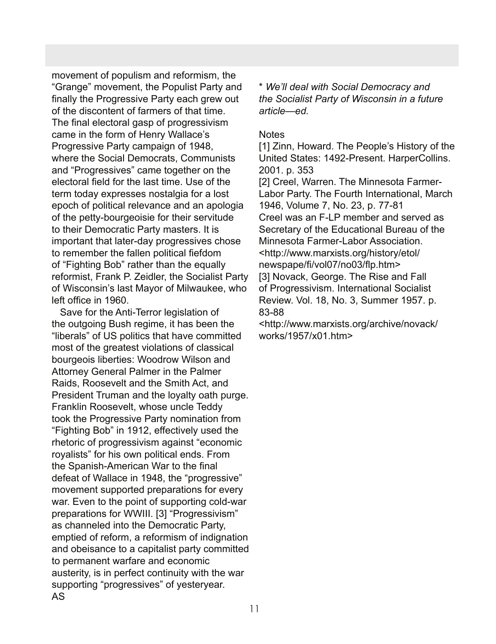movement of populism and reformism, the "Grange" movement, the Populist Party and finally the Progressive Party each grew out of the discontent of farmers of that time. The final electoral gasp of progressivism came in the form of Henry Wallace's Progressive Party campaign of 1948, where the Social Democrats, Communists and "Progressives" came together on the electoral field for the last time. Use of the term today expresses nostalgia for a lost epoch of political relevance and an apologia of the petty-bourgeoisie for their servitude to their Democratic Party masters. It is important that later-day progressives chose to remember the fallen political fiefdom of "Fighting Bob" rather than the equally reformist, Frank P. Zeidler, the Socialist Party of Wisconsin's last Mayor of Milwaukee, who left office in 1960.

 Save for the Anti-Terror legislation of the outgoing Bush regime, it has been the "liberals" of US politics that have committed most of the greatest violations of classical bourgeois liberties: Woodrow Wilson and Attorney General Palmer in the Palmer Raids, Roosevelt and the Smith Act, and President Truman and the loyalty oath purge. Franklin Roosevelt, whose uncle Teddy took the Progressive Party nomination from "Fighting Bob" in 1912, effectively used the rhetoric of progressivism against "economic royalists" for his own political ends. From the Spanish-American War to the final defeat of Wallace in 1948, the "progressive" movement supported preparations for every war. Even to the point of supporting cold-war preparations for WWIII. [3] "Progressivism" as channeled into the Democratic Party, emptied of reform, a reformism of indignation and obeisance to a capitalist party committed to permanent warfare and economic austerity, is in perfect continuity with the war supporting "progressives" of yesteryear. AS

\* *We'll deal with Social Democracy and the Socialist Party of Wisconsin in a future article—ed.*

### **Notes**

[1] Zinn, Howard. The People's History of the United States: 1492-Present. HarperCollins. 2001. p. 353

[2] Creel, Warren. The Minnesota Farmer-Labor Party. The Fourth International, March 1946, Volume 7, No. 23, p. 77-81 Creel was an F-LP member and served as Secretary of the Educational Bureau of the Minnesota Farmer-Labor Association <http://www.marxists.org/history/etol/ newspape/fi/vol07/no03/flp.htm> [3] Novack, George. The Rise and Fall of Progressivism. International Socialist Review. Vol. 18, No. 3, Summer 1957. p. 83-88

<http://www.marxists.org/archive/novack/ works/1957/x01.htm>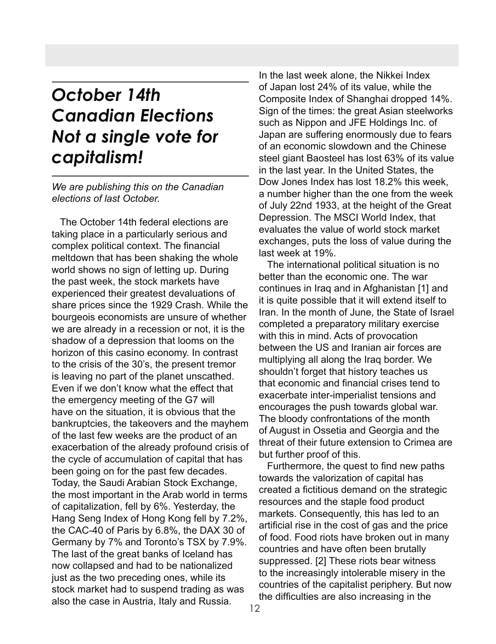## *October 14th Canadian Elections Not a single vote for capitalism!*

### *We are publishing this on the Canadian elections of last October.*

 The October 14th federal elections are taking place in a particularly serious and complex political context. The financial meltdown that has been shaking the whole world shows no sign of letting up. During the past week, the stock markets have experienced their greatest devaluations of share prices since the 1929 Crash. While the bourgeois economists are unsure of whether we are already in a recession or not, it is the shadow of a depression that looms on the horizon of this casino economy. In contrast to the crisis of the 30's, the present tremor is leaving no part of the planet unscathed. Even if we don't know what the effect that the emergency meeting of the G7 will have on the situation, it is obvious that the bankruptcies, the takeovers and the mayhem of the last few weeks are the product of an exacerbation of the already profound crisis of the cycle of accumulation of capital that has been going on for the past few decades. Today, the Saudi Arabian Stock Exchange, the most important in the Arab world in terms of capitalization, fell by 6%. Yesterday, the Hang Seng Index of Hong Kong fell by 7.2%, the CAC-40 of Paris by 6.8%, the DAX 30 of Germany by 7% and Toronto's TSX by 7.9%. The last of the great banks of Iceland has now collapsed and had to be nationalized just as the two preceding ones, while its stock market had to suspend trading as was also the case in Austria, Italy and Russia.

In the last week alone, the Nikkei Index of Japan lost 24% of its value, while the Composite Index of Shanghai dropped 14%. Sign of the times: the great Asian steelworks such as Nippon and JFE Holdings Inc. of Japan are suffering enormously due to fears of an economic slowdown and the Chinese steel giant Baosteel has lost 63% of its value in the last year. In the United States, the Dow Jones Index has lost 18.2% this week, a number higher than the one from the week of July 22nd 1933, at the height of the Great Depression. The MSCI World Index, that evaluates the value of world stock market exchanges, puts the loss of value during the last week at 19%.

 The international political situation is no better than the economic one. The war continues in Iraq and in Afghanistan [1] and it is quite possible that it will extend itself to Iran. In the month of June, the State of Israel completed a preparatory military exercise with this in mind. Acts of provocation between the US and Iranian air forces are multiplying all along the Iraq border. We shouldn't forget that history teaches us that economic and financial crises tend to exacerbate inter-imperialist tensions and encourages the push towards global war. The bloody confrontations of the month of August in Ossetia and Georgia and the threat of their future extension to Crimea are but further proof of this.

 Furthermore, the quest to find new paths towards the valorization of capital has created a fictitious demand on the strategic resources and the staple food product markets. Consequently, this has led to an artificial rise in the cost of gas and the price of food. Food riots have broken out in many countries and have often been brutally suppressed. [2] These riots bear witness to the increasingly intolerable misery in the countries of the capitalist periphery. But now the difficulties are also increasing in the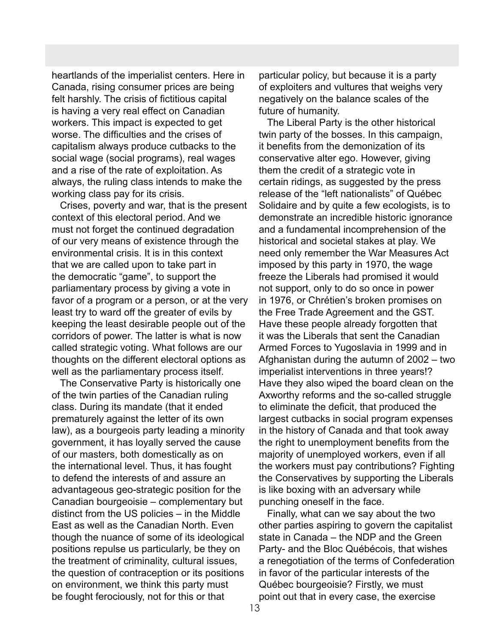heartlands of the imperialist centers. Here in Canada, rising consumer prices are being felt harshly. The crisis of fictitious capital is having a very real effect on Canadian workers. This impact is expected to get worse. The difficulties and the crises of capitalism always produce cutbacks to the social wage (social programs), real wages and a rise of the rate of exploitation. As always, the ruling class intends to make the working class pay for its crisis.

 Crises, poverty and war, that is the present context of this electoral period. And we must not forget the continued degradation of our very means of existence through the environmental crisis. It is in this context that we are called upon to take part in the democratic "game", to support the parliamentary process by giving a vote in favor of a program or a person, or at the very least try to ward off the greater of evils by keeping the least desirable people out of the corridors of power. The latter is what is now called strategic voting. What follows are our thoughts on the different electoral options as well as the parliamentary process itself.

 The Conservative Party is historically one of the twin parties of the Canadian ruling class. During its mandate (that it ended prematurely against the letter of its own law), as a bourgeois party leading a minority government, it has loyally served the cause of our masters, both domestically as on the international level. Thus, it has fought to defend the interests of and assure an advantageous geo-strategic position for the Canadian bourgeoisie – complementary but distinct from the US policies – in the Middle East as well as the Canadian North. Even though the nuance of some of its ideological positions repulse us particularly, be they on the treatment of criminality, cultural issues, the question of contraception or its positions on environment, we think this party must be fought ferociously, not for this or that

particular policy, but because it is a party of exploiters and vultures that weighs very negatively on the balance scales of the future of humanity.

 The Liberal Party is the other historical twin party of the bosses. In this campaign, it benefits from the demonization of its conservative alter ego. However, giving them the credit of a strategic vote in certain ridings, as suggested by the press release of the "left nationalists" of Québec Solidaire and by quite a few ecologists, is to demonstrate an incredible historic ignorance and a fundamental incomprehension of the historical and societal stakes at play. We need only remember the War Measures Act imposed by this party in 1970, the wage freeze the Liberals had promised it would not support, only to do so once in power in 1976, or Chrétien's broken promises on the Free Trade Agreement and the GST. Have these people already forgotten that it was the Liberals that sent the Canadian Armed Forces to Yugoslavia in 1999 and in Afghanistan during the autumn of 2002 – two imperialist interventions in three years!? Have they also wiped the board clean on the Axworthy reforms and the so-called struggle to eliminate the deficit, that produced the largest cutbacks in social program expenses in the history of Canada and that took away the right to unemployment benefits from the majority of unemployed workers, even if all the workers must pay contributions? Fighting the Conservatives by supporting the Liberals is like boxing with an adversary while punching oneself in the face.

 Finally, what can we say about the two other parties aspiring to govern the capitalist state in Canada – the NDP and the Green Party- and the Bloc Québécois, that wishes a renegotiation of the terms of Confederation in favor of the particular interests of the Québec bourgeoisie? Firstly, we must point out that in every case, the exercise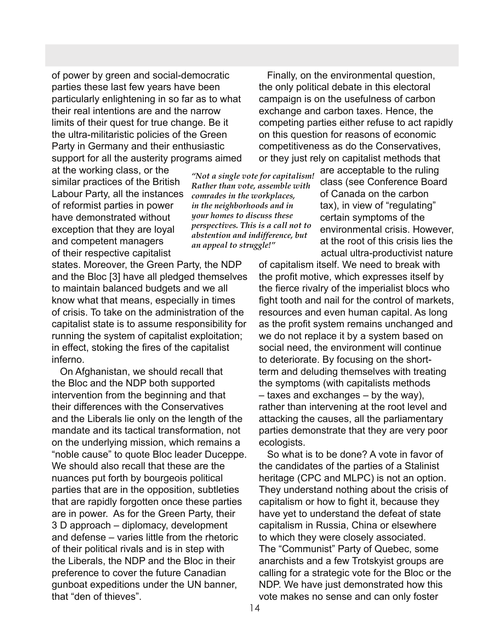of power by green and social-democratic parties these last few years have been particularly enlightening in so far as to what their real intentions are and the narrow limits of their quest for true change. Be it the ultra-militaristic policies of the Green Party in Germany and their enthusiastic support for all the austerity programs aimed

at the working class, or the similar practices of the British Labour Party, all the instances of reformist parties in power have demonstrated without exception that they are loyal and competent managers of their respective capitalist

states. Moreover, the Green Party, the NDP and the Bloc [3] have all pledged themselves to maintain balanced budgets and we all know what that means, especially in times of crisis. To take on the administration of the capitalist state is to assume responsibility for running the system of capitalist exploitation; in effect, stoking the fires of the capitalist inferno.

 On Afghanistan, we should recall that the Bloc and the NDP both supported intervention from the beginning and that their differences with the Conservatives and the Liberals lie only on the length of the mandate and its tactical transformation, not on the underlying mission, which remains a "noble cause" to quote Bloc leader Duceppe. We should also recall that these are the nuances put forth by bourgeois political parties that are in the opposition, subtleties that are rapidly forgotten once these parties are in power. As for the Green Party, their 3 D approach – diplomacy, development and defense – varies little from the rhetoric of their political rivals and is in step with the Liberals, the NDP and the Bloc in their preference to cover the future Canadian gunboat expeditions under the UN banner, that "den of thieves".

 Finally, on the environmental question, the only political debate in this electoral campaign is on the usefulness of carbon exchange and carbon taxes. Hence, the competing parties either refuse to act rapidly on this question for reasons of economic competitiveness as do the Conservatives, or they just rely on capitalist methods that

*"Not a single vote for capitalism! Rather than vote, assemble with comrades in the workplaces, in the neighborhoods and in your homes to discuss these perspectives. This is a call not to abstention and indifference, but an appeal to struggle!"*

are acceptable to the ruling class (see Conference Board of Canada on the carbon tax), in view of "regulating" certain symptoms of the environmental crisis. However, at the root of this crisis lies the actual ultra-productivist nature

of capitalism itself. We need to break with the profit motive, which expresses itself by the fierce rivalry of the imperialist blocs who fight tooth and nail for the control of markets, resources and even human capital. As long as the profit system remains unchanged and we do not replace it by a system based on social need, the environment will continue to deteriorate. By focusing on the shortterm and deluding themselves with treating the symptoms (with capitalists methods – taxes and exchanges – by the way), rather than intervening at the root level and attacking the causes, all the parliamentary parties demonstrate that they are very poor ecologists.

 So what is to be done? A vote in favor of the candidates of the parties of a Stalinist heritage (CPC and MLPC) is not an option. They understand nothing about the crisis of capitalism or how to fight it, because they have yet to understand the defeat of state capitalism in Russia, China or elsewhere to which they were closely associated. The "Communist" Party of Quebec, some anarchists and a few Trotskyist groups are calling for a strategic vote for the Bloc or the NDP. We have just demonstrated how this vote makes no sense and can only foster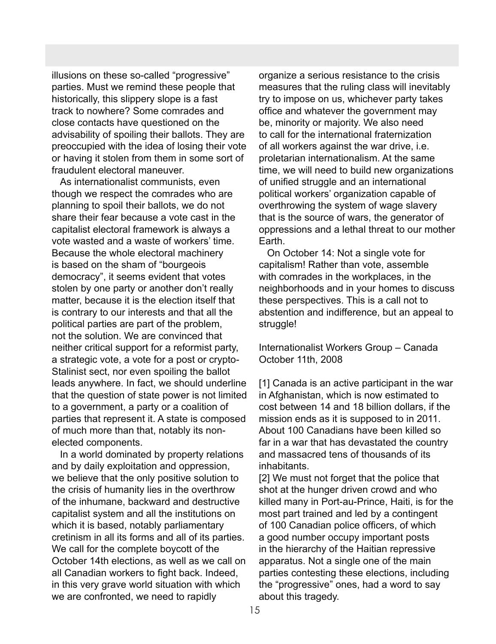illusions on these so-called "progressive" parties. Must we remind these people that historically, this slippery slope is a fast track to nowhere? Some comrades and close contacts have questioned on the advisability of spoiling their ballots. They are preoccupied with the idea of losing their vote or having it stolen from them in some sort of fraudulent electoral maneuver.

 As internationalist communists, even though we respect the comrades who are planning to spoil their ballots, we do not share their fear because a vote cast in the capitalist electoral framework is always a vote wasted and a waste of workers' time. Because the whole electoral machinery is based on the sham of "bourgeois democracy", it seems evident that votes stolen by one party or another don't really matter, because it is the election itself that is contrary to our interests and that all the political parties are part of the problem, not the solution. We are convinced that neither critical support for a reformist party, a strategic vote, a vote for a post or crypto-Stalinist sect, nor even spoiling the ballot leads anywhere. In fact, we should underline that the question of state power is not limited to a government, a party or a coalition of parties that represent it. A state is composed of much more than that, notably its nonelected components.

 In a world dominated by property relations and by daily exploitation and oppression, we believe that the only positive solution to the crisis of humanity lies in the overthrow of the inhumane, backward and destructive capitalist system and all the institutions on which it is based, notably parliamentary cretinism in all its forms and all of its parties. We call for the complete boycott of the October 14th elections, as well as we call on all Canadian workers to fight back. Indeed, in this very grave world situation with which we are confronted, we need to rapidly

organize a serious resistance to the crisis measures that the ruling class will inevitably try to impose on us, whichever party takes office and whatever the government may be, minority or majority. We also need to call for the international fraternization of all workers against the war drive, i.e. proletarian internationalism. At the same time, we will need to build new organizations of unified struggle and an international political workers' organization capable of overthrowing the system of wage slavery that is the source of wars, the generator of oppressions and a lethal threat to our mother Earth.

 On October 14: Not a single vote for capitalism! Rather than vote, assemble with comrades in the workplaces, in the neighborhoods and in your homes to discuss these perspectives. This is a call not to abstention and indifference, but an appeal to struggle!

Internationalist Workers Group – Canada October 11th, 2008

[1] Canada is an active participant in the war in Afghanistan, which is now estimated to cost between 14 and 18 billion dollars, if the mission ends as it is supposed to in 2011. About 100 Canadians have been killed so far in a war that has devastated the country and massacred tens of thousands of its inhabitants.

[2] We must not forget that the police that shot at the hunger driven crowd and who killed many in Port-au-Prince, Haiti, is for the most part trained and led by a contingent of 100 Canadian police officers, of which a good number occupy important posts in the hierarchy of the Haitian repressive apparatus. Not a single one of the main parties contesting these elections, including the "progressive" ones, had a word to say about this tragedy.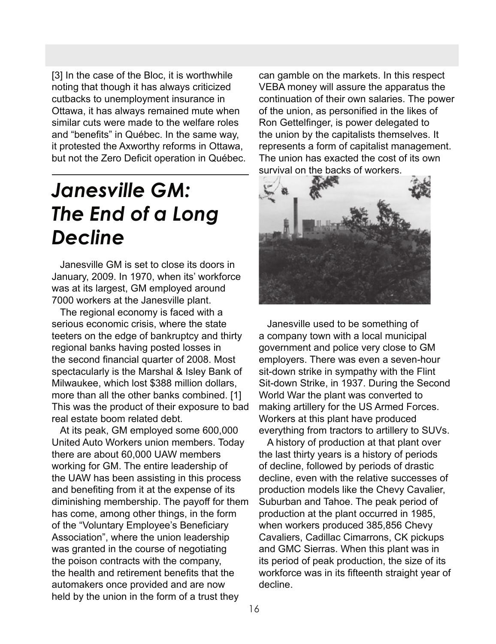[3] In the case of the Bloc, it is worthwhile noting that though it has always criticized cutbacks to unemployment insurance in Ottawa, it has always remained mute when similar cuts were made to the welfare roles and "benefits" in Québec. In the same way, it protested the Axworthy reforms in Ottawa, but not the Zero Deficit operation in Québec.

## *Janesville GM: The End of a Long Decline*

 Janesville GM is set to close its doors in January, 2009. In 1970, when its' workforce was at its largest, GM employed around 7000 workers at the Janesville plant.

 The regional economy is faced with a serious economic crisis, where the state teeters on the edge of bankruptcy and thirty regional banks having posted losses in the second financial quarter of 2008. Most spectacularly is the Marshal & Isley Bank of Milwaukee, which lost \$388 million dollars, more than all the other banks combined. [1] This was the product of their exposure to bad real estate boom related debt.

 At its peak, GM employed some 600,000 United Auto Workers union members. Today there are about 60,000 UAW members working for GM. The entire leadership of the UAW has been assisting in this process and benefiting from it at the expense of its diminishing membership. The payoff for them has come, among other things, in the form of the "Voluntary Employee's Beneficiary Association", where the union leadership was granted in the course of negotiating the poison contracts with the company, the health and retirement benefits that the automakers once provided and are now held by the union in the form of a trust they

can gamble on the markets. In this respect VEBA money will assure the apparatus the continuation of their own salaries. The power of the union, as personified in the likes of Ron Gettelfinger, is power delegated to the union by the capitalists themselves. It represents a form of capitalist management. The union has exacted the cost of its own survival on the backs of workers.



 Janesville used to be something of a company town with a local municipal government and police very close to GM employers. There was even a seven-hour sit-down strike in sympathy with the Flint Sit-down Strike, in 1937. During the Second World War the plant was converted to making artillery for the US Armed Forces. Workers at this plant have produced everything from tractors to artillery to SUVs.

 A history of production at that plant over the last thirty years is a history of periods of decline, followed by periods of drastic decline, even with the relative successes of production models like the Chevy Cavalier, Suburban and Tahoe. The peak period of production at the plant occurred in 1985, when workers produced 385,856 Chevy Cavaliers, Cadillac Cimarrons, CK pickups and GMC Sierras. When this plant was in its period of peak production, the size of its workforce was in its fifteenth straight year of decline.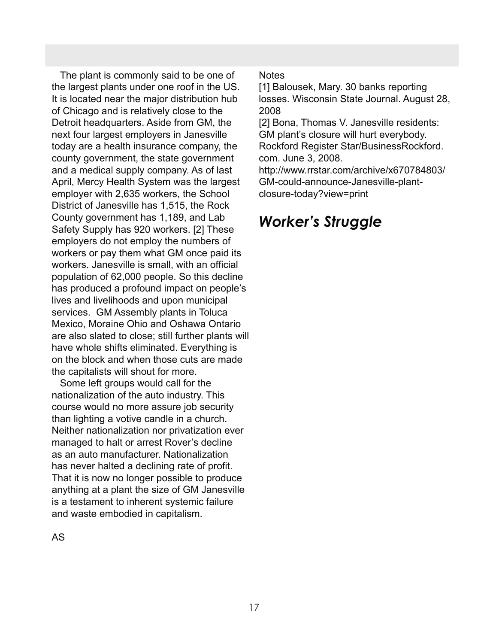The plant is commonly said to be one of the largest plants under one roof in the US. It is located near the major distribution hub of Chicago and is relatively close to the Detroit headquarters. Aside from GM, the next four largest employers in Janesville today are a health insurance company, the county government, the state government and a medical supply company. As of last April, Mercy Health System was the largest employer with 2,635 workers, the School District of Janesville has 1,515, the Rock County government has 1,189, and Lab Safety Supply has 920 workers. [2] These employers do not employ the numbers of workers or pay them what GM once paid its workers. Janesville is small, with an official population of 62,000 people. So this decline has produced a profound impact on people's lives and livelihoods and upon municipal services. GM Assembly plants in Toluca Mexico, Moraine Ohio and Oshawa Ontario are also slated to close; still further plants will have whole shifts eliminated. Everything is on the block and when those cuts are made the capitalists will shout for more.

 Some left groups would call for the nationalization of the auto industry. This course would no more assure job security than lighting a votive candle in a church. Neither nationalization nor privatization ever managed to halt or arrest Rover's decline as an auto manufacturer. Nationalization has never halted a declining rate of profit. That it is now no longer possible to produce anything at a plant the size of GM Janesville is a testament to inherent systemic failure and waste embodied in capitalism.

**Notes** 

[1] Balousek, Mary. 30 banks reporting losses. Wisconsin State Journal. August 28, 2008

[2] Bona, Thomas V. Janesville residents: GM plant's closure will hurt everybody. Rockford Register Star/BusinessRockford. com. June 3, 2008.

http://www.rrstar.com/archive/x670784803/ GM-could-announce-Janesville-plantclosure-today?view=print

## *Worker's Struggle*

AS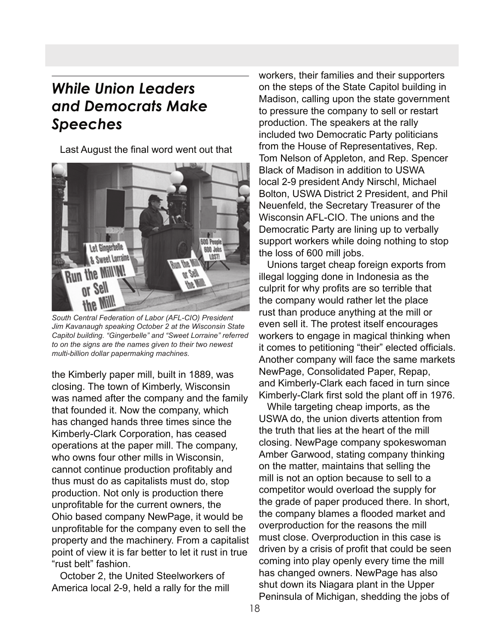### *While Union Leaders and Democrats Make Speeches*

Last August the final word went out that



*South Central Federation of Labor (AFL-CIO) President Jim Kavanaugh speaking October 2 at the Wisconsin State Capitol building. "Gingerbelle" and "Sweet Lorraine" referred to on the signs are the names given to their two newest multi-billion dollar papermaking machines.*

the Kimberly paper mill, built in 1889, was closing. The town of Kimberly, Wisconsin was named after the company and the family that founded it. Now the company, which has changed hands three times since the Kimberly-Clark Corporation, has ceased operations at the paper mill. The company, who owns four other mills in Wisconsin, cannot continue production profitably and thus must do as capitalists must do, stop production. Not only is production there unprofitable for the current owners, the Ohio based company NewPage, it would be unprofitable for the company even to sell the property and the machinery. From a capitalist point of view it is far better to let it rust in true "rust belt" fashion.

 October 2, the United Steelworkers of America local 2-9, held a rally for the mill

workers, their families and their supporters on the steps of the State Capitol building in Madison, calling upon the state government to pressure the company to sell or restart production. The speakers at the rally included two Democratic Party politicians from the House of Representatives, Rep. Tom Nelson of Appleton, and Rep. Spencer Black of Madison in addition to USWA local 2-9 president Andy Nirschl, Michael Bolton, USWA District 2 President, and Phil Neuenfeld, the Secretary Treasurer of the Wisconsin AFL-CIO. The unions and the Democratic Party are lining up to verbally support workers while doing nothing to stop the loss of 600 mill jobs.

 Unions target cheap foreign exports from illegal logging done in Indonesia as the culprit for why profits are so terrible that the company would rather let the place rust than produce anything at the mill or even sell it. The protest itself encourages workers to engage in magical thinking when it comes to petitioning "their" elected officials. Another company will face the same markets NewPage, Consolidated Paper, Repap, and Kimberly-Clark each faced in turn since Kimberly-Clark first sold the plant off in 1976.

 While targeting cheap imports, as the USWA do, the union diverts attention from the truth that lies at the heart of the mill closing. NewPage company spokeswoman Amber Garwood, stating company thinking on the matter, maintains that selling the mill is not an option because to sell to a competitor would overload the supply for the grade of paper produced there. In short, the company blames a flooded market and overproduction for the reasons the mill must close. Overproduction in this case is driven by a crisis of profit that could be seen coming into play openly every time the mill has changed owners. NewPage has also shut down its Niagara plant in the Upper Peninsula of Michigan, shedding the jobs of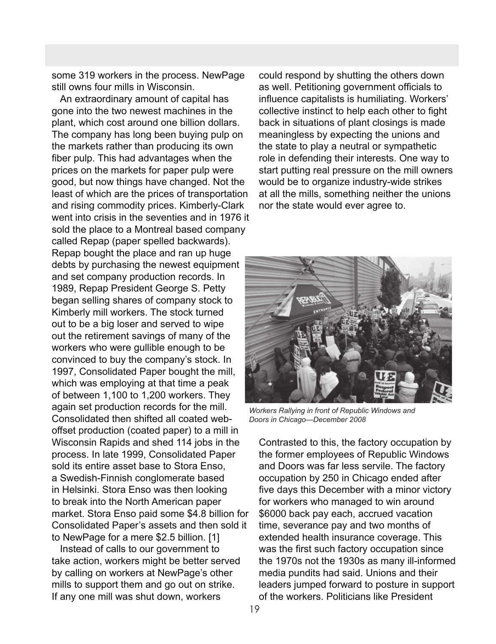some 319 workers in the process. NewPage still owns four mills in Wisconsin.

 An extraordinary amount of capital has gone into the two newest machines in the plant, which cost around one billion dollars. The company has long been buying pulp on the markets rather than producing its own fiber pulp. This had advantages when the prices on the markets for paper pulp were good, but now things have changed. Not the least of which are the prices of transportation and rising commodity prices. Kimberly-Clark went into crisis in the seventies and in 1976 it sold the place to a Montreal based company called Repap (paper spelled backwards). Repap bought the place and ran up huge debts by purchasing the newest equipment and set company production records. In 1989, Repap President George S. Petty began selling shares of company stock to Kimberly mill workers. The stock turned out to be a big loser and served to wipe out the retirement savings of many of the workers who were gullible enough to be convinced to buy the company's stock. In 1997, Consolidated Paper bought the mill, which was employing at that time a peak of between 1,100 to 1,200 workers. They again set production records for the mill. Consolidated then shifted all coated weboffset production (coated paper) to a mill in Wisconsin Rapids and shed 114 jobs in the process. In late 1999, Consolidated Paper sold its entire asset base to Stora Enso, a Swedish-Finnish conglomerate based in Helsinki. Stora Enso was then looking to break into the North American paper market. Stora Enso paid some \$4.8 billion for Consolidated Paper's assets and then sold it to NewPage for a mere \$2.5 billion. [1]

 Instead of calls to our government to take action, workers might be better served by calling on workers at NewPage's other mills to support them and go out on strike. If any one mill was shut down, workers

could respond by shutting the others down as well. Petitioning government officials to influence capitalists is humiliating. Workers' collective instinct to help each other to fight back in situations of plant closings is made meaningless by expecting the unions and the state to play a neutral or sympathetic role in defending their interests. One way to start putting real pressure on the mill owners would be to organize industry-wide strikes at all the mills, something neither the unions nor the state would ever agree to.



*Workers Rallying in front of Republic Windows and Doors in Chicago—December 2008*

Contrasted to this, the factory occupation by the former employees of Republic Windows and Doors was far less servile. The factory occupation by 250 in Chicago ended after five days this December with a minor victory for workers who managed to win around \$6000 back pay each, accrued vacation time, severance pay and two months of extended health insurance coverage. This was the first such factory occupation since the 1970s not the 1930s as many ill-informed media pundits had said. Unions and their leaders jumped forward to posture in support of the workers. Politicians like President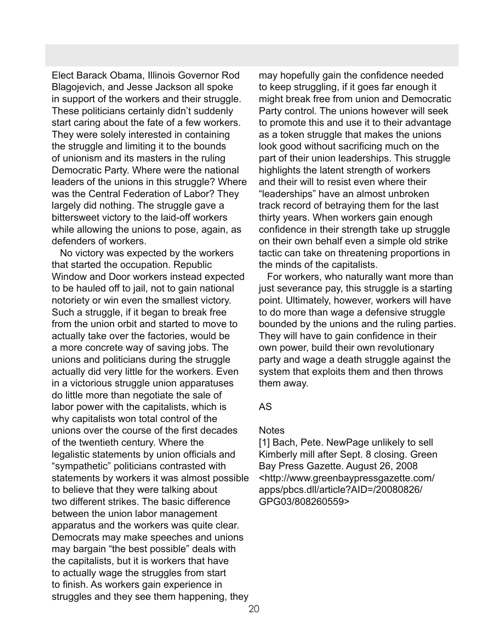Elect Barack Obama, Illinois Governor Rod Blagojevich, and Jesse Jackson all spoke in support of the workers and their struggle. These politicians certainly didn't suddenly start caring about the fate of a few workers. They were solely interested in containing the struggle and limiting it to the bounds of unionism and its masters in the ruling Democratic Party. Where were the national leaders of the unions in this struggle? Where was the Central Federation of Labor? They largely did nothing. The struggle gave a bittersweet victory to the laid-off workers while allowing the unions to pose, again, as defenders of workers.

 No victory was expected by the workers that started the occupation. Republic Window and Door workers instead expected to be hauled off to jail, not to gain national notoriety or win even the smallest victory. Such a struggle, if it began to break free from the union orbit and started to move to actually take over the factories, would be a more concrete way of saving jobs. The unions and politicians during the struggle actually did very little for the workers. Even in a victorious struggle union apparatuses do little more than negotiate the sale of labor power with the capitalists, which is why capitalists won total control of the unions over the course of the first decades of the twentieth century. Where the legalistic statements by union officials and "sympathetic" politicians contrasted with statements by workers it was almost possible to believe that they were talking about two different strikes. The basic difference between the union labor management apparatus and the workers was quite clear. Democrats may make speeches and unions may bargain "the best possible" deals with the capitalists, but it is workers that have to actually wage the struggles from start to finish. As workers gain experience in struggles and they see them happening, they

may hopefully gain the confidence needed to keep struggling, if it goes far enough it might break free from union and Democratic Party control. The unions however will seek to promote this and use it to their advantage as a token struggle that makes the unions look good without sacrificing much on the part of their union leaderships. This struggle highlights the latent strength of workers and their will to resist even where their "leaderships" have an almost unbroken track record of betraying them for the last thirty years. When workers gain enough confidence in their strength take up struggle on their own behalf even a simple old strike tactic can take on threatening proportions in the minds of the capitalists.

 For workers, who naturally want more than just severance pay, this struggle is a starting point. Ultimately, however, workers will have to do more than wage a defensive struggle bounded by the unions and the ruling parties. They will have to gain confidence in their own power, build their own revolutionary party and wage a death struggle against the system that exploits them and then throws them away.

### AS

### **Notes**

[1] Bach, Pete. NewPage unlikely to sell Kimberly mill after Sept. 8 closing. Green Bay Press Gazette. August 26, 2008 <http://www.greenbaypressgazette.com/ apps/pbcs.dll/article?AID=/20080826/ GPG03/808260559>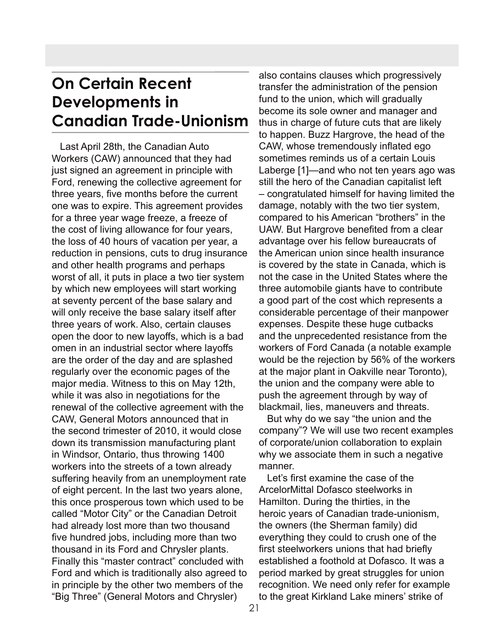## **On Certain Recent Developments in Canadian Trade-Unionism**

 Last April 28th, the Canadian Auto Workers (CAW) announced that they had just signed an agreement in principle with Ford, renewing the collective agreement for three years, five months before the current one was to expire. This agreement provides for a three year wage freeze, a freeze of the cost of living allowance for four years, the loss of 40 hours of vacation per year, a reduction in pensions, cuts to drug insurance and other health programs and perhaps worst of all, it puts in place a two tier system by which new employees will start working at seventy percent of the base salary and will only receive the base salary itself after three years of work. Also, certain clauses open the door to new layoffs, which is a bad omen in an industrial sector where layoffs are the order of the day and are splashed regularly over the economic pages of the major media. Witness to this on May 12th, while it was also in negotiations for the renewal of the collective agreement with the CAW, General Motors announced that in the second trimester of 2010, it would close down its transmission manufacturing plant in Windsor, Ontario, thus throwing 1400 workers into the streets of a town already suffering heavily from an unemployment rate of eight percent. In the last two years alone, this once prosperous town which used to be called "Motor City" or the Canadian Detroit had already lost more than two thousand five hundred jobs, including more than two thousand in its Ford and Chrysler plants. Finally this "master contract" concluded with Ford and which is traditionally also agreed to in principle by the other two members of the "Big Three" (General Motors and Chrysler)

also contains clauses which progressively transfer the administration of the pension fund to the union, which will gradually become its sole owner and manager and thus in charge of future cuts that are likely to happen. Buzz Hargrove, the head of the CAW, whose tremendously inflated ego sometimes reminds us of a certain Louis Laberge [1]—and who not ten years ago was still the hero of the Canadian capitalist left – congratulated himself for having limited the damage, notably with the two tier system, compared to his American "brothers" in the UAW. But Hargrove benefited from a clear advantage over his fellow bureaucrats of the American union since health insurance is covered by the state in Canada, which is not the case in the United States where the three automobile giants have to contribute a good part of the cost which represents a considerable percentage of their manpower expenses. Despite these huge cutbacks and the unprecedented resistance from the workers of Ford Canada (a notable example would be the rejection by 56% of the workers at the major plant in Oakville near Toronto), the union and the company were able to push the agreement through by way of blackmail, lies, maneuvers and threats. But why do we say "the union and the

company"? We will use two recent examples of corporate/union collaboration to explain why we associate them in such a negative manner.

 Let's first examine the case of the ArcelorMittal Dofasco steelworks in Hamilton. During the thirties, in the heroic years of Canadian trade-unionism, the owners (the Sherman family) did everything they could to crush one of the first steelworkers unions that had briefly established a foothold at Dofasco. It was a period marked by great struggles for union recognition. We need only refer for example to the great Kirkland Lake miners' strike of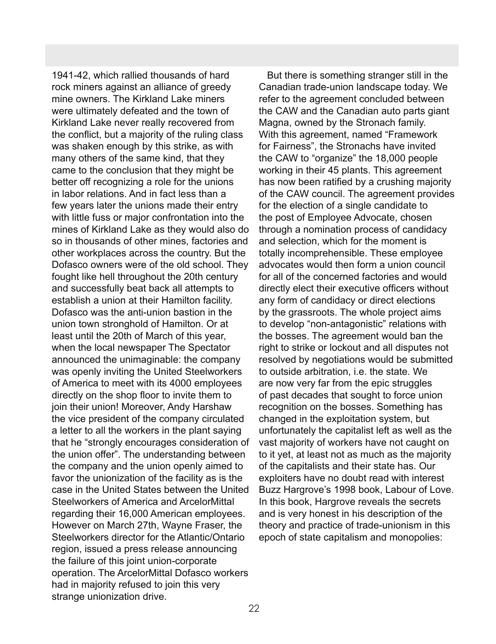1941-42, which rallied thousands of hard rock miners against an alliance of greedy mine owners. The Kirkland Lake miners were ultimately defeated and the town of Kirkland Lake never really recovered from the conflict, but a majority of the ruling class was shaken enough by this strike, as with many others of the same kind, that they came to the conclusion that they might be better off recognizing a role for the unions in labor relations. And in fact less than a few years later the unions made their entry with little fuss or major confrontation into the mines of Kirkland Lake as they would also do so in thousands of other mines, factories and other workplaces across the country. But the Dofasco owners were of the old school. They fought like hell throughout the 20th century and successfully beat back all attempts to establish a union at their Hamilton facility. Dofasco was the anti-union bastion in the union town stronghold of Hamilton. Or at least until the 20th of March of this year, when the local newspaper The Spectator announced the unimaginable: the company was openly inviting the United Steelworkers of America to meet with its 4000 employees directly on the shop floor to invite them to join their union! Moreover, Andy Harshaw the vice president of the company circulated a letter to all the workers in the plant saying that he "strongly encourages consideration of the union offer". The understanding between the company and the union openly aimed to favor the unionization of the facility as is the case in the United States between the United Steelworkers of America and ArcelorMittal regarding their 16,000 American employees. However on March 27th, Wayne Fraser, the Steelworkers director for the Atlantic/Ontario region, issued a press release announcing the failure of this joint union-corporate operation. The ArcelorMittal Dofasco workers had in majority refused to join this very strange unionization drive.

 But there is something stranger still in the Canadian trade-union landscape today. We refer to the agreement concluded between the CAW and the Canadian auto parts giant Magna, owned by the Stronach family. With this agreement, named "Framework for Fairness", the Stronachs have invited the CAW to "organize" the 18,000 people working in their 45 plants. This agreement has now been ratified by a crushing majority of the CAW council. The agreement provides for the election of a single candidate to the post of Employee Advocate, chosen through a nomination process of candidacy and selection, which for the moment is totally incomprehensible. These employee advocates would then form a union council for all of the concerned factories and would directly elect their executive officers without any form of candidacy or direct elections by the grassroots. The whole project aims to develop "non-antagonistic" relations with the bosses. The agreement would ban the right to strike or lockout and all disputes not resolved by negotiations would be submitted to outside arbitration, i.e. the state. We are now very far from the epic struggles of past decades that sought to force union recognition on the bosses. Something has changed in the exploitation system, but unfortunately the capitalist left as well as the vast majority of workers have not caught on to it yet, at least not as much as the majority of the capitalists and their state has. Our exploiters have no doubt read with interest Buzz Hargrove's 1998 book, Labour of Love. In this book, Hargrove reveals the secrets and is very honest in his description of the theory and practice of trade-unionism in this epoch of state capitalism and monopolies: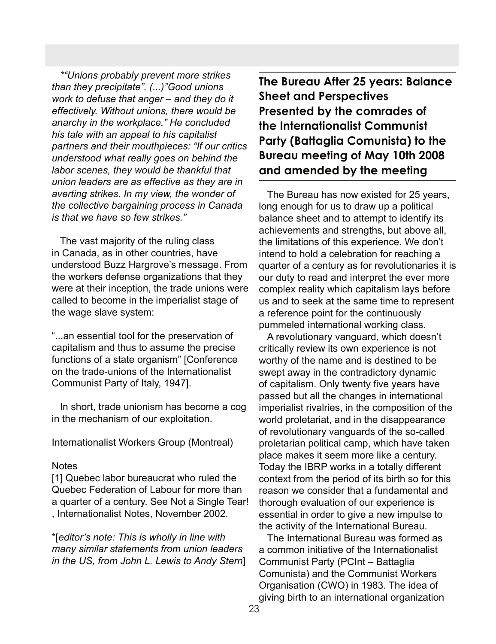*\*"Unions probably prevent more strikes than they precipitate". (...)"Good unions work to defuse that anger – and they do it effectively. Without unions, there would be anarchy in the workplace." He concluded his tale with an appeal to his capitalist partners and their mouthpieces: "If our critics understood what really goes on behind the labor scenes, they would be thankful that union leaders are as effective as they are in averting strikes. In my view, the wonder of the collective bargaining process in Canada is that we have so few strikes."*

 The vast majority of the ruling class in Canada, as in other countries, have understood Buzz Hargrove's message. From the workers defense organizations that they were at their inception, the trade unions were called to become in the imperialist stage of the wage slave system:

"...an essential tool for the preservation of capitalism and thus to assume the precise functions of a state organism" [Conference on the trade-unions of the Internationalist Communist Party of Italy, 1947].

 In short, trade unionism has become a cog in the mechanism of our exploitation.

Internationalist Workers Group (Montreal)

### **Notes**

[1] Quebec labor bureaucrat who ruled the Quebec Federation of Labour for more than a quarter of a century. See Not a Single Tear! , Internationalist Notes, November 2002.

\*[*editor's note: This is wholly in line with many similar statements from union leaders in the US, from John L. Lewis to Andy Stern*] **The Bureau After 25 years: Balance Sheet and Perspectives Presented by the comrades of the Internationalist Communist Party (Battaglia Comunista) to the Bureau meeting of May 10th 2008 and amended by the meeting**

 The Bureau has now existed for 25 years, long enough for us to draw up a political balance sheet and to attempt to identify its achievements and strengths, but above all, the limitations of this experience. We don't intend to hold a celebration for reaching a quarter of a century as for revolutionaries it is our duty to read and interpret the ever more complex reality which capitalism lays before us and to seek at the same time to represent a reference point for the continuously pummeled international working class.

 A revolutionary vanguard, which doesn't critically review its own experience is not worthy of the name and is destined to be swept away in the contradictory dynamic of capitalism. Only twenty five years have passed but all the changes in international imperialist rivalries, in the composition of the world proletariat, and in the disappearance of revolutionary vanguards of the so-called proletarian political camp, which have taken place makes it seem more like a century. Today the IBRP works in a totally different context from the period of its birth so for this reason we consider that a fundamental and thorough evaluation of our experience is essential in order to give a new impulse to the activity of the International Bureau.

 The International Bureau was formed as a common initiative of the Internationalist Communist Party (PCInt – Battaglia Comunista) and the Communist Workers Organisation (CWO) in 1983. The idea of giving birth to an international organization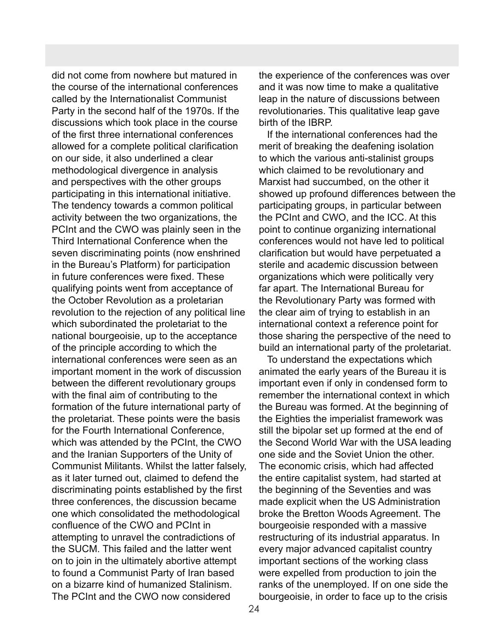did not come from nowhere but matured in the course of the international conferences called by the Internationalist Communist Party in the second half of the 1970s. If the discussions which took place in the course of the first three international conferences allowed for a complete political clarification on our side, it also underlined a clear methodological divergence in analysis and perspectives with the other groups participating in this international initiative. The tendency towards a common political activity between the two organizations, the PCInt and the CWO was plainly seen in the Third International Conference when the seven discriminating points (now enshrined in the Bureau's Platform) for participation in future conferences were fixed. These qualifying points went from acceptance of the October Revolution as a proletarian revolution to the rejection of any political line which subordinated the proletariat to the national bourgeoisie, up to the acceptance of the principle according to which the international conferences were seen as an important moment in the work of discussion between the different revolutionary groups with the final aim of contributing to the formation of the future international party of the proletariat. These points were the basis for the Fourth International Conference, which was attended by the PCInt, the CWO and the Iranian Supporters of the Unity of Communist Militants. Whilst the latter falsely, as it later turned out, claimed to defend the discriminating points established by the first three conferences, the discussion became one which consolidated the methodological confluence of the CWO and PCInt in attempting to unravel the contradictions of the SUCM. This failed and the latter went on to join in the ultimately abortive attempt to found a Communist Party of Iran based on a bizarre kind of humanized Stalinism. The PCInt and the CWO now considered

the experience of the conferences was over and it was now time to make a qualitative leap in the nature of discussions between revolutionaries. This qualitative leap gave birth of the IBRP.

 If the international conferences had the merit of breaking the deafening isolation to which the various anti-stalinist groups which claimed to be revolutionary and Marxist had succumbed, on the other it showed up profound differences between the participating groups, in particular between the PCInt and CWO, and the ICC. At this point to continue organizing international conferences would not have led to political clarification but would have perpetuated a sterile and academic discussion between organizations which were politically very far apart. The International Bureau for the Revolutionary Party was formed with the clear aim of trying to establish in an international context a reference point for those sharing the perspective of the need to build an international party of the proletariat.

 To understand the expectations which animated the early years of the Bureau it is important even if only in condensed form to remember the international context in which the Bureau was formed. At the beginning of the Eighties the imperialist framework was still the bipolar set up formed at the end of the Second World War with the USA leading one side and the Soviet Union the other. The economic crisis, which had affected the entire capitalist system, had started at the beginning of the Seventies and was made explicit when the US Administration broke the Bretton Woods Agreement. The bourgeoisie responded with a massive restructuring of its industrial apparatus. In every major advanced capitalist country important sections of the working class were expelled from production to join the ranks of the unemployed. If on one side the bourgeoisie, in order to face up to the crisis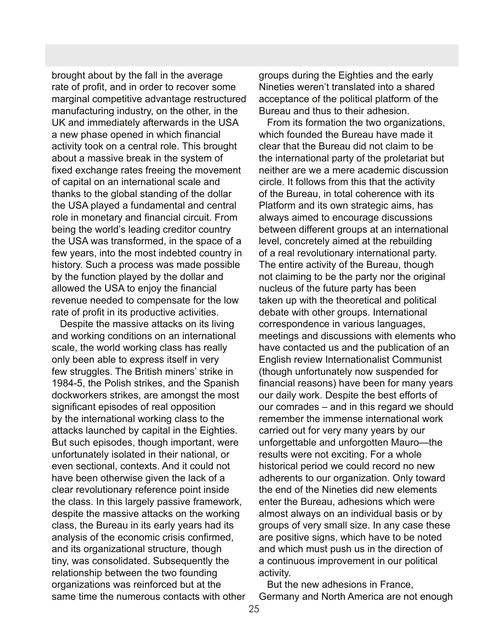brought about by the fall in the average rate of profit, and in order to recover some marginal competitive advantage restructured manufacturing industry, on the other, in the UK and immediately afterwards in the USA a new phase opened in which financial activity took on a central role. This brought about a massive break in the system of fixed exchange rates freeing the movement of capital on an international scale and thanks to the global standing of the dollar the USA played a fundamental and central role in monetary and financial circuit. From being the world's leading creditor country the USA was transformed, in the space of a few years, into the most indebted country in history. Such a process was made possible by the function played by the dollar and allowed the USA to enjoy the financial revenue needed to compensate for the low rate of profit in its productive activities.

 Despite the massive attacks on its living and working conditions on an international scale, the world working class has really only been able to express itself in very few struggles. The British miners' strike in 1984-5, the Polish strikes, and the Spanish dockworkers strikes, are amongst the most significant episodes of real opposition by the international working class to the attacks launched by capital in the Eighties. But such episodes, though important, were unfortunately isolated in their national, or even sectional, contexts. And it could not have been otherwise given the lack of a clear revolutionary reference point inside the class. In this largely passive framework, despite the massive attacks on the working class, the Bureau in its early years had its analysis of the economic crisis confirmed, and its organizational structure, though tiny, was consolidated. Subsequently the relationship between the two founding organizations was reinforced but at the same time the numerous contacts with other groups during the Eighties and the early Nineties weren't translated into a shared acceptance of the political platform of the Bureau and thus to their adhesion.

 From its formation the two organizations, which founded the Bureau have made it clear that the Bureau did not claim to be the international party of the proletariat but neither are we a mere academic discussion circle. It follows from this that the activity of the Bureau, in total coherence with its Platform and its own strategic aims, has always aimed to encourage discussions between different groups at an international level, concretely aimed at the rebuilding of a real revolutionary international party. The entire activity of the Bureau, though not claiming to be the party nor the original nucleus of the future party has been taken up with the theoretical and political debate with other groups. International correspondence in various languages, meetings and discussions with elements who have contacted us and the publication of an English review Internationalist Communist (though unfortunately now suspended for financial reasons) have been for many years our daily work. Despite the best efforts of our comrades – and in this regard we should remember the immense international work carried out for very many years by our unforgettable and unforgotten Mauro—the results were not exciting. For a whole historical period we could record no new adherents to our organization. Only toward the end of the Nineties did new elements enter the Bureau, adhesions which were almost always on an individual basis or by groups of very small size. In any case these are positive signs, which have to be noted and which must push us in the direction of a continuous improvement in our political activity.

 But the new adhesions in France, Germany and North America are not enough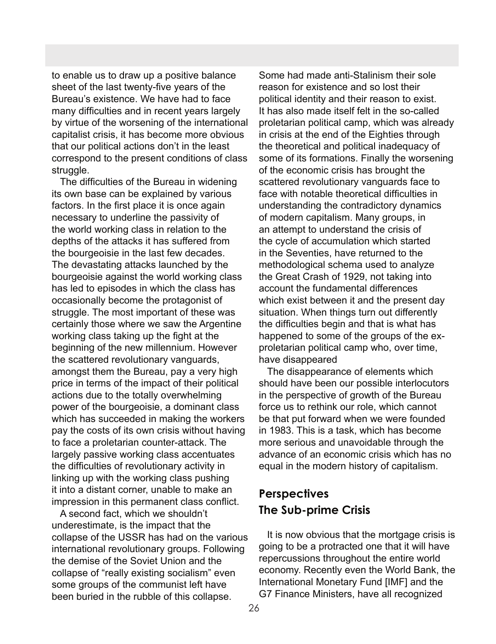to enable us to draw up a positive balance sheet of the last twenty-five years of the Bureau's existence. We have had to face many difficulties and in recent years largely by virtue of the worsening of the international capitalist crisis, it has become more obvious that our political actions don't in the least correspond to the present conditions of class struggle.

 The difficulties of the Bureau in widening its own base can be explained by various factors. In the first place it is once again necessary to underline the passivity of the world working class in relation to the depths of the attacks it has suffered from the bourgeoisie in the last few decades. The devastating attacks launched by the bourgeoisie against the world working class has led to episodes in which the class has occasionally become the protagonist of struggle. The most important of these was certainly those where we saw the Argentine working class taking up the fight at the beginning of the new millennium. However the scattered revolutionary vanguards, amongst them the Bureau, pay a very high price in terms of the impact of their political actions due to the totally overwhelming power of the bourgeoisie, a dominant class which has succeeded in making the workers pay the costs of its own crisis without having to face a proletarian counter-attack. The largely passive working class accentuates the difficulties of revolutionary activity in linking up with the working class pushing it into a distant corner, unable to make an impression in this permanent class conflict.

 A second fact, which we shouldn't underestimate, is the impact that the collapse of the USSR has had on the various international revolutionary groups. Following the demise of the Soviet Union and the collapse of "really existing socialism" even some groups of the communist left have been buried in the rubble of this collapse.

Some had made anti-Stalinism their sole reason for existence and so lost their political identity and their reason to exist. It has also made itself felt in the so-called proletarian political camp, which was already in crisis at the end of the Eighties through the theoretical and political inadequacy of some of its formations. Finally the worsening of the economic crisis has brought the scattered revolutionary vanguards face to face with notable theoretical difficulties in understanding the contradictory dynamics of modern capitalism. Many groups, in an attempt to understand the crisis of the cycle of accumulation which started in the Seventies, have returned to the methodological schema used to analyze the Great Crash of 1929, not taking into account the fundamental differences which exist between it and the present day situation. When things turn out differently the difficulties begin and that is what has happened to some of the groups of the exproletarian political camp who, over time, have disappeared

 The disappearance of elements which should have been our possible interlocutors in the perspective of growth of the Bureau force us to rethink our role, which cannot be that put forward when we were founded in 1983. This is a task, which has become more serious and unavoidable through the advance of an economic crisis which has no equal in the modern history of capitalism.

### **Perspectives The Sub-prime Crisis**

 It is now obvious that the mortgage crisis is going to be a protracted one that it will have repercussions throughout the entire world economy. Recently even the World Bank, the International Monetary Fund [IMF] and the G7 Finance Ministers, have all recognized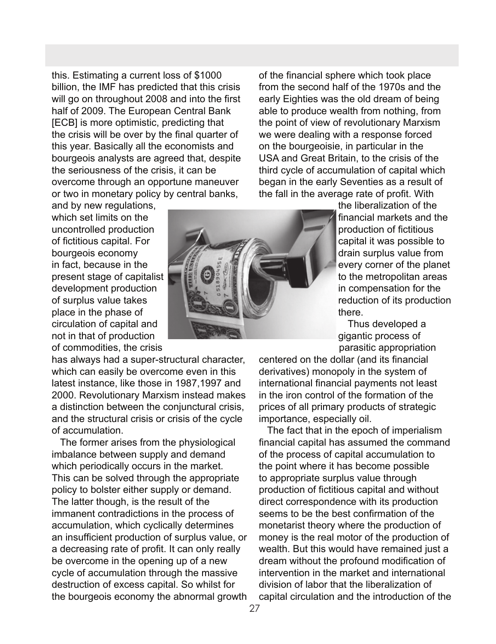this. Estimating a current loss of \$1000 billion, the IMF has predicted that this crisis will go on throughout 2008 and into the first half of 2009. The European Central Bank [ECB] is more optimistic, predicting that the crisis will be over by the final quarter of this year. Basically all the economists and bourgeois analysts are agreed that, despite the seriousness of the crisis, it can be overcome through an opportune maneuver or two in monetary policy by central banks,

and by new regulations, which set limits on the uncontrolled production of fictitious capital. For bourgeois economy in fact, because in the present stage of capitalist development production of surplus value takes place in the phase of circulation of capital and not in that of production of commodities, the crisis

has always had a super-structural character, which can easily be overcome even in this latest instance, like those in 1987,1997 and 2000. Revolutionary Marxism instead makes a distinction between the conjunctural crisis, and the structural crisis or crisis of the cycle of accumulation.

 The former arises from the physiological imbalance between supply and demand which periodically occurs in the market. This can be solved through the appropriate policy to bolster either supply or demand. The latter though, is the result of the immanent contradictions in the process of accumulation, which cyclically determines an insufficient production of surplus value, or a decreasing rate of profit. It can only really be overcome in the opening up of a new cycle of accumulation through the massive destruction of excess capital. So whilst for the bourgeois economy the abnormal growth



of the financial sphere which took place from the second half of the 1970s and the early Eighties was the old dream of being able to produce wealth from nothing, from the point of view of revolutionary Marxism we were dealing with a response forced on the bourgeoisie, in particular in the USA and Great Britain, to the crisis of the third cycle of accumulation of capital which began in the early Seventies as a result of the fall in the average rate of profit. With

the liberalization of the financial markets and the production of fictitious capital it was possible to drain surplus value from every corner of the planet to the metropolitan areas in compensation for the reduction of its production there.

 Thus developed a gigantic process of parasitic appropriation

centered on the dollar (and its financial derivatives) monopoly in the system of international financial payments not least in the iron control of the formation of the prices of all primary products of strategic importance, especially oil.

 The fact that in the epoch of imperialism financial capital has assumed the command of the process of capital accumulation to the point where it has become possible to appropriate surplus value through production of fictitious capital and without direct correspondence with its production seems to be the best confirmation of the monetarist theory where the production of money is the real motor of the production of wealth. But this would have remained just a dream without the profound modification of intervention in the market and international division of labor that the liberalization of capital circulation and the introduction of the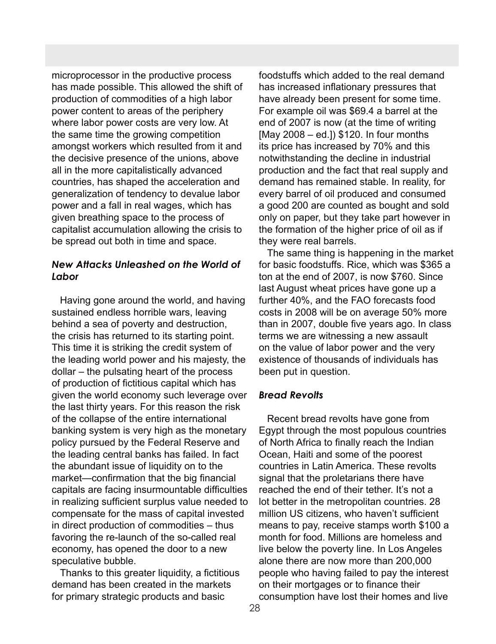microprocessor in the productive process has made possible. This allowed the shift of production of commodities of a high labor power content to areas of the periphery where labor power costs are very low. At the same time the growing competition amongst workers which resulted from it and the decisive presence of the unions, above all in the more capitalistically advanced countries, has shaped the acceleration and generalization of tendency to devalue labor power and a fall in real wages, which has given breathing space to the process of capitalist accumulation allowing the crisis to be spread out both in time and space.

### *New Attacks Unleashed on the World of Labor*

 Having gone around the world, and having sustained endless horrible wars, leaving behind a sea of poverty and destruction, the crisis has returned to its starting point. This time it is striking the credit system of the leading world power and his majesty, the dollar – the pulsating heart of the process of production of fictitious capital which has given the world economy such leverage over the last thirty years. For this reason the risk of the collapse of the entire international banking system is very high as the monetary policy pursued by the Federal Reserve and the leading central banks has failed. In fact the abundant issue of liquidity on to the market—confirmation that the big financial capitals are facing insurmountable difficulties in realizing sufficient surplus value needed to compensate for the mass of capital invested in direct production of commodities – thus favoring the re-launch of the so-called real economy, has opened the door to a new speculative bubble.

 Thanks to this greater liquidity, a fictitious demand has been created in the markets for primary strategic products and basic

foodstuffs which added to the real demand has increased inflationary pressures that have already been present for some time. For example oil was \$69.4 a barrel at the end of 2007 is now (at the time of writing [May 2008 – ed.]) \$120. In four months its price has increased by 70% and this notwithstanding the decline in industrial production and the fact that real supply and demand has remained stable. In reality, for every barrel of oil produced and consumed a good 200 are counted as bought and sold only on paper, but they take part however in the formation of the higher price of oil as if they were real barrels.

 The same thing is happening in the market for basic foodstuffs. Rice, which was \$365 a ton at the end of 2007, is now \$760. Since last August wheat prices have gone up a further 40%, and the FAO forecasts food costs in 2008 will be on average 50% more than in 2007, double five years ago. In class terms we are witnessing a new assault on the value of labor power and the very existence of thousands of individuals has been put in question.

### *Bread Revolts*

 Recent bread revolts have gone from Egypt through the most populous countries of North Africa to finally reach the Indian Ocean, Haiti and some of the poorest countries in Latin America. These revolts signal that the proletarians there have reached the end of their tether. It's not a lot better in the metropolitan countries. 28 million US citizens, who haven't sufficient means to pay, receive stamps worth \$100 a month for food. Millions are homeless and live below the poverty line. In Los Angeles alone there are now more than 200,000 people who having failed to pay the interest on their mortgages or to finance their consumption have lost their homes and live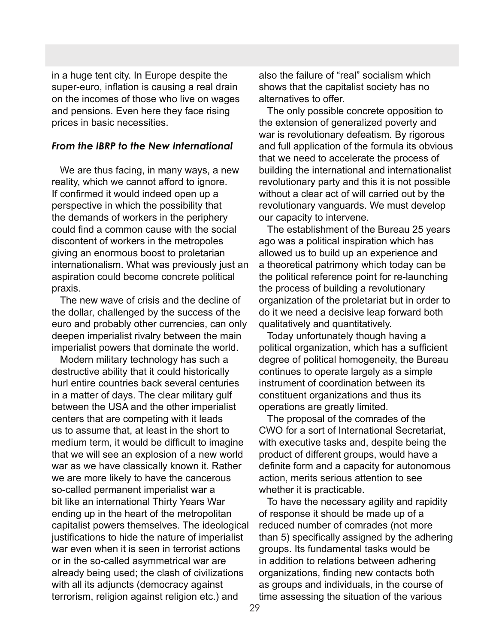in a huge tent city. In Europe despite the super-euro, inflation is causing a real drain on the incomes of those who live on wages and pensions. Even here they face rising prices in basic necessities.

### *From the IBRP to the New International*

 We are thus facing, in many ways, a new reality, which we cannot afford to ignore. If confirmed it would indeed open up a perspective in which the possibility that the demands of workers in the periphery could find a common cause with the social discontent of workers in the metropoles giving an enormous boost to proletarian internationalism. What was previously just an aspiration could become concrete political praxis.

 The new wave of crisis and the decline of the dollar, challenged by the success of the euro and probably other currencies, can only deepen imperialist rivalry between the main imperialist powers that dominate the world.

 Modern military technology has such a destructive ability that it could historically hurl entire countries back several centuries in a matter of days. The clear military gulf between the USA and the other imperialist centers that are competing with it leads us to assume that, at least in the short to medium term, it would be difficult to imagine that we will see an explosion of a new world war as we have classically known it. Rather we are more likely to have the cancerous so-called permanent imperialist war a bit like an international Thirty Years War ending up in the heart of the metropolitan capitalist powers themselves. The ideological justifications to hide the nature of imperialist war even when it is seen in terrorist actions or in the so-called asymmetrical war are already being used; the clash of civilizations with all its adjuncts (democracy against terrorism, religion against religion etc.) and

also the failure of "real" socialism which shows that the capitalist society has no alternatives to offer.

 The only possible concrete opposition to the extension of generalized poverty and war is revolutionary defeatism. By rigorous and full application of the formula its obvious that we need to accelerate the process of building the international and internationalist revolutionary party and this it is not possible without a clear act of will carried out by the revolutionary vanguards. We must develop our capacity to intervene.

 The establishment of the Bureau 25 years ago was a political inspiration which has allowed us to build up an experience and a theoretical patrimony which today can be the political reference point for re-launching the process of building a revolutionary organization of the proletariat but in order to do it we need a decisive leap forward both qualitatively and quantitatively.

 Today unfortunately though having a political organization, which has a sufficient degree of political homogeneity, the Bureau continues to operate largely as a simple instrument of coordination between its constituent organizations and thus its operations are greatly limited.

 The proposal of the comrades of the CWO for a sort of International Secretariat, with executive tasks and, despite being the product of different groups, would have a definite form and a capacity for autonomous action, merits serious attention to see whether it is practicable.

 To have the necessary agility and rapidity of response it should be made up of a reduced number of comrades (not more than 5) specifically assigned by the adhering groups. Its fundamental tasks would be in addition to relations between adhering organizations, finding new contacts both as groups and individuals, in the course of time assessing the situation of the various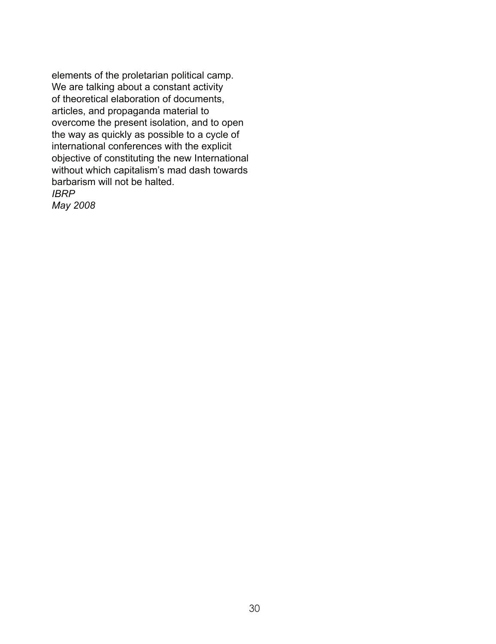elements of the proletarian political camp. We are talking about a constant activity of theoretical elaboration of documents, articles, and propaganda material to overcome the present isolation, and to open the way as quickly as possible to a cycle of international conferences with the explicit objective of constituting the new International without which capitalism's mad dash towards barbarism will not be halted. *IBRP* 

*May 2008*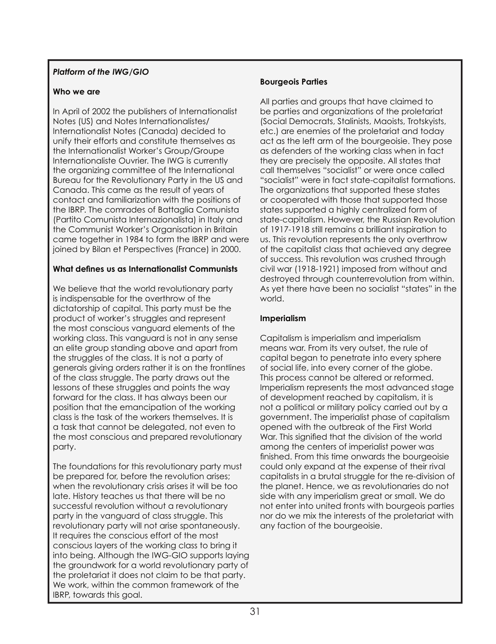### *Platform of the IWG/GIO*

### **Who we are**

In April of 2002 the publishers of Internationalist Notes (US) and Notes Internationalistes/ Internationalist Notes (Canada) decided to unify their efforts and constitute themselves as the Internationalist Worker's Group/Groupe Internationaliste Ouvrier. The IWG is currently the organizing committee of the International Bureau for the Revolutionary Party in the US and Canada. This came as the result of years of contact and familiarization with the positions of the IBRP. The comrades of Battaglia Comunista (Partito Comunista Internazionalista) in Italy and the Communist Worker's Organisation in Britain came together in 1984 to form the IBRP and were joined by Bilan et Perspectives (France) in 2000.

### **What defines us as Internationalist Communists**

We believe that the world revolutionary party is indispensable for the overthrow of the dictatorship of capital. This party must be the product of worker's struggles and represent the most conscious vanguard elements of the working class. This vanguard is not in any sense an elite group standing above and apart from the struggles of the class. It is not a party of generals giving orders rather it is on the frontlines of the class struggle. The party draws out the lessons of these struggles and points the way forward for the class. It has always been our position that the emancipation of the working class is the task of the workers themselves. It is a task that cannot be delegated, not even to the most conscious and prepared revolutionary party.

The foundations for this revolutionary party must be prepared for, before the revolution arises; when the revolutionary crisis arises it will be too late. History teaches us that there will be no successful revolution without a revolutionary party in the vanguard of class struggle. This revolutionary party will not arise spontaneously. It requires the conscious effort of the most conscious layers of the working class to bring it into being. Although the IWG-GIO supports laying the groundwork for a world revolutionary party of the proletariat it does not claim to be that party. We work, within the common framework of the IBRP, towards this goal.

### **Bourgeois Parties**

All parties and groups that have claimed to be parties and organizations of the proletariat (Social Democrats, Stalinists, Maoists, Trotskyists, etc.) are enemies of the proletariat and today act as the left arm of the bourgeoisie. They pose as defenders of the working class when in fact they are precisely the opposite. All states that call themselves "socialist" or were once called "socialist" were in fact state-capitalist formations. The organizations that supported these states or cooperated with those that supported those states supported a highly centralized form of state-capitalism. However, the Russian Revolution of 1917-1918 still remains a brilliant inspiration to us. This revolution represents the only overthrow of the capitalist class that achieved any degree of success. This revolution was crushed through civil war (1918-1921) imposed from without and destroyed through counterrevolution from within. As yet there have been no socialist "states" in the world.

### **Imperialism**

Capitalism is imperialism and imperialism means war. From its very outset, the rule of capital began to penetrate into every sphere of social life, into every corner of the globe. This process cannot be altered or reformed. Imperialism represents the most advanced stage of development reached by capitalism, it is not a political or military policy carried out by a government. The imperialist phase of capitalism opened with the outbreak of the First World War. This signified that the division of the world among the centers of imperialist power was finished. From this time onwards the bourgeoisie could only expand at the expense of their rival capitalists in a brutal struggle for the re-division of the planet. Hence, we as revolutionaries do not side with any imperialism great or small. We do not enter into united fronts with bourgeois parties nor do we mix the interests of the proletariat with any faction of the bourgeoisie.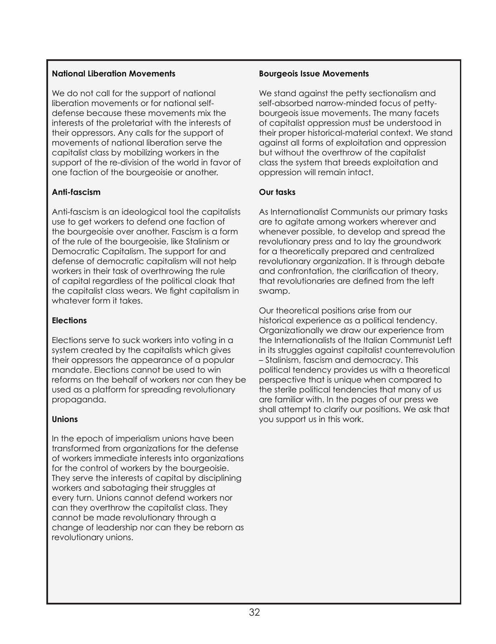### The October Revolution shook the world, **National Liberation Movements**

We do not call for the support of national we do not call for the support of national<br>liberation movements or for national selfdefense because these movements mix the interests of the proletariat with the interests of their oppressors. Any calls for the support of movements of national liberation serve the capitalist class by mobilizing workers in the<br>support of the re-division of the world in favor of support of the to ansiem of the world in tax The fact that the first proletarian revolution capitalist class by mobilizing workers in the

### came to grief because it was unable to win **Anti-fascism**

Anti-fascism is an ideological tool the capitalists Ann-iascism is an ideological fool me capitalists<br>use to get workers to defend one faction of ity. But what happened after 1917? the bourgeoisie over another. Fascism is a form *The Party of Lenin and Trotsky were shot,*  Democratic Capitalism. The support for and *documents were destroyed, hidden or falsi-*defense of democratic capitalism will not help *fied (idem Victor Serge)* of capital regardless of the political cloak that whatever form it takes. of the rule of the bourgeoisie, like Stalinism or workers in their task of overthrowing the rule the capitalist class wears. We fight capitalism in

#### the Second War, then the Second War, then the "Cold War, then the "Cold War, then the "Cold" War, then the "Co<br>The "Cold War, the "Cold War, the "Cold War, the "Cold War, the "Cold War, the "Cold" War, the "Cold War, the **Elections**

Elections serve to suck workers into voting in a system created by the capitalists which gives their oppressors the appearance of a popular mandate. Elections cannot be used to win reforms on the behalf of workers nor can they be used as a platform for spreading revolutionary<br>prepaganda been able to rediscover peace). The spark propaganda.

### of hope was put out since the international **Unions**

In the epoch of imperialism unions have been nansionned nom organizations for the deterneer<br>of workers immediate interests into organizations of workers immodiate improvements and eigenizations They serve the interests of capital by disciplining workers and sabotaging their struggles at every turn. Unions cannot defend workers nor can mey overmow me capitalist class, mey<br>cannot be made revolutionary through a beams is a mede revership in a segar exchange of leadership nor can they be reborn as revolutionary unions. transformed from organizations for the defense can they overthrow the capitalist class. They

### **Bourgeois Issue Movements**

We stand against the petty sectionalism and self-absorbed narrow-minded focus of pettybourgeois issue movements. The many facets of capitalist oppression must be understood in their proper historical-material context. We stand against all forms of exploitation and oppression but without the overthrow of the capitalist class the system that breeds exploitation and oppression will remain intact.

### **Our tasks**

As Internationalist Communists our primary tasks are to agitate among workers wherever and whenever possible, to develop and spread the revolutionary press and to lay the groundwork for a theoretically prepared and centralized revolutionary organization. It is through debate and confrontation, the clarification of theory, that revolutionaries are defined from the left swamp.

Our theoretical positions arise from our historical experience as a political tendency. Organizationally we draw our experience from the Internationalists of the Italian Communist Left in its struggles against capitalist counterrevolution – Stalinism, fascism and democracy. This political tendency provides us with a theoretical perspective that is unique when compared to the sterile political tendencies that many of us are familiar with. In the pages of our press we shall attempt to clarify our positions. We ask that you support us in this work.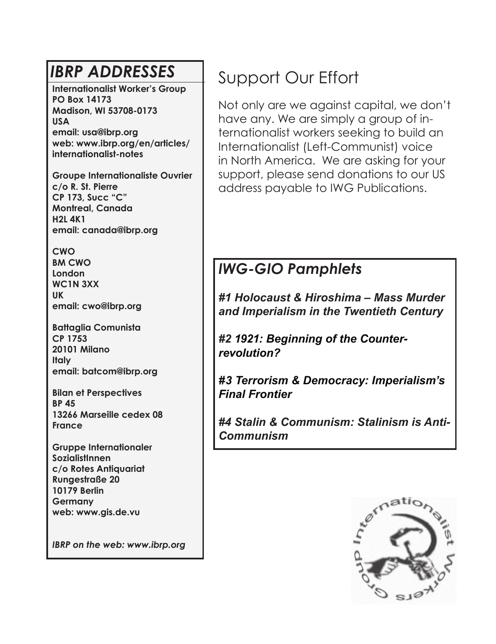**Internationalist Worker's Group PO Box 14173 Madison, WI 53708-0173 USA email: usa@ibrp.org web: www.ibrp.org/en/articles/ internationalist-notes**

**Groupe Internationaliste Ouvrier c/o R. St. Pierre CP 173, Succ "C" Montreal, Canada H2L 4K1 email: canada@ibrp.org**

**CWO BM CWO London WC1N 3XX UK email: cwo@ibrp.org**

**Battaglia Comunista CP 1753 20101 Milano Italy email: batcom@ibrp.org**

**Bilan et Perspectives BP 45 13266 Marseille cedex 08 France**

**Gruppe Internationaler SozialistInnen c/o Rotes Antiquariat Rungestraße 20 10179 Berlin Germany web: www.gis.de.vu**

*IBRP on the web: www.ibrp.org*

## **IBRP ADDRESSES** Support Our Effort

Not only are we against capital, we don't have any. We are simply a group of internationalist workers seeking to build an Internationalist (Left-Communist) voice in North America. We are asking for your support, please send donations to our US address payable to IWG Publications.

## *IWG-GIO Pamphlets*

*#1 Holocaust & Hiroshima – Mass Murder and Imperialism in the Twentieth Century*

*#2 1921: Beginning of the Counterrevolution?*

*#3 Terrorism & Democracy: Imperialism's Final Frontier* 

*#4 Stalin & Communism: Stalinism is Anti-Communism*